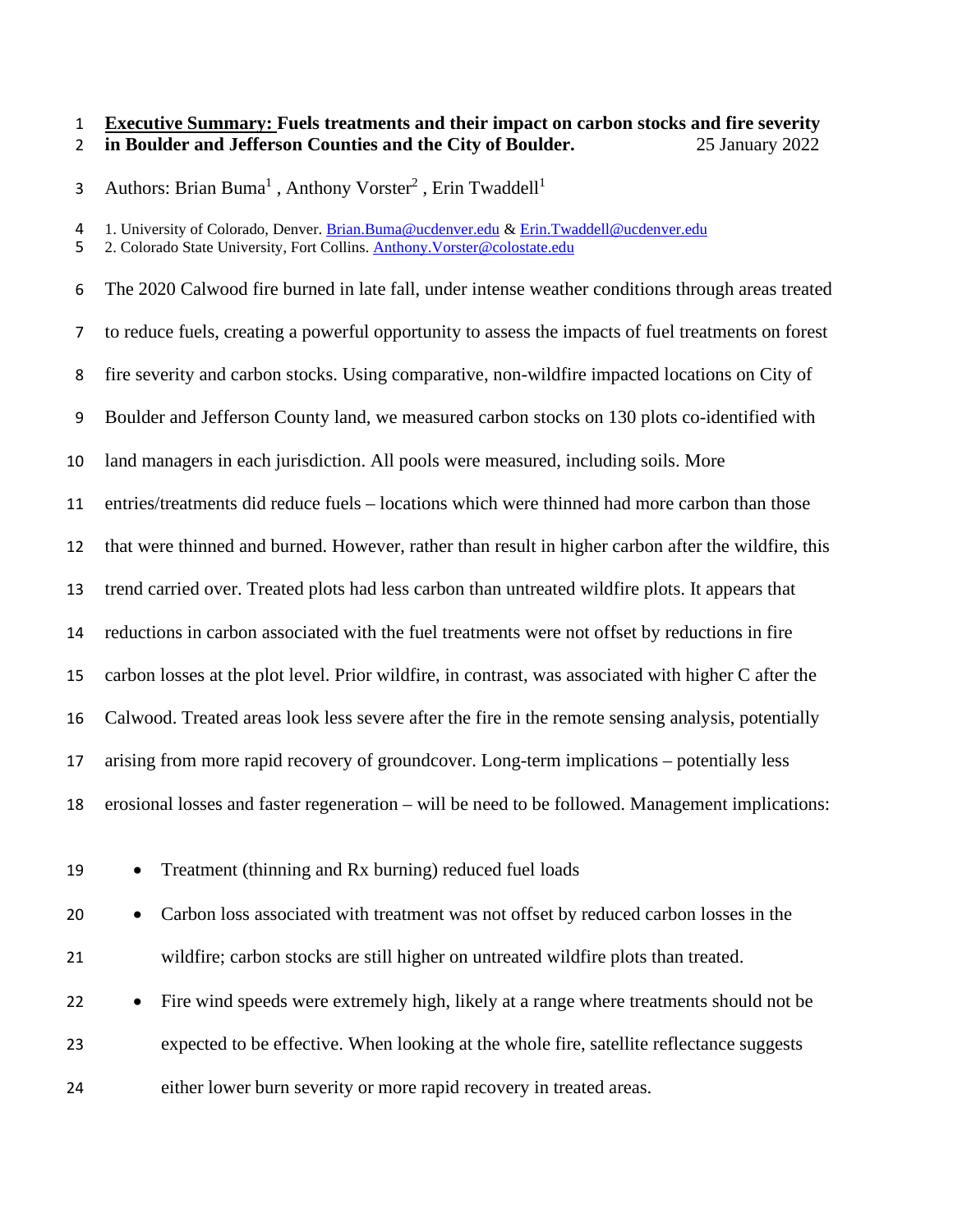### **Executive Summary: Fuels treatments and their impact on carbon stocks and fire severity in Boulder and Jefferson Counties and the City of Boulder.** 25 January 2022

3 Authors: Brian Buma<sup>1</sup>, Anthony Vorster<sup>2</sup>, Erin Twaddell<sup>1</sup>

4 1. University of Colorado, Denver. <u>Brian.Buma@ucdenver.edu</u> & [Erin.Twaddell@ucdenver.edu](mailto:Erin.Twaddell@ucdenver.edu)<br>5 2. Colorado State University. Fort Collins. Anthony.Vorster@colostate.edu

2. Colorado State University, Fort Collins. [Anthony.Vorster@colostate.edu](mailto:Anthony.Vorster@colostate.edu)

 The 2020 Calwood fire burned in late fall, under intense weather conditions through areas treated to reduce fuels, creating a powerful opportunity to assess the impacts of fuel treatments on forest fire severity and carbon stocks. Using comparative, non-wildfire impacted locations on City of Boulder and Jefferson County land, we measured carbon stocks on 130 plots co-identified with land managers in each jurisdiction. All pools were measured, including soils. More entries/treatments did reduce fuels – locations which were thinned had more carbon than those that were thinned and burned. However, rather than result in higher carbon after the wildfire, this trend carried over. Treated plots had less carbon than untreated wildfire plots. It appears that reductions in carbon associated with the fuel treatments were not offset by reductions in fire carbon losses at the plot level. Prior wildfire, in contrast, was associated with higher C after the Calwood. Treated areas look less severe after the fire in the remote sensing analysis, potentially arising from more rapid recovery of groundcover. Long-term implications – potentially less erosional losses and faster regeneration – will be need to be followed. Management implications:

• Treatment (thinning and Rx burning) reduced fuel loads

 • Carbon loss associated with treatment was not offset by reduced carbon losses in the wildfire; carbon stocks are still higher on untreated wildfire plots than treated.

 • Fire wind speeds were extremely high, likely at a range where treatments should not be expected to be effective. When looking at the whole fire, satellite reflectance suggests either lower burn severity or more rapid recovery in treated areas.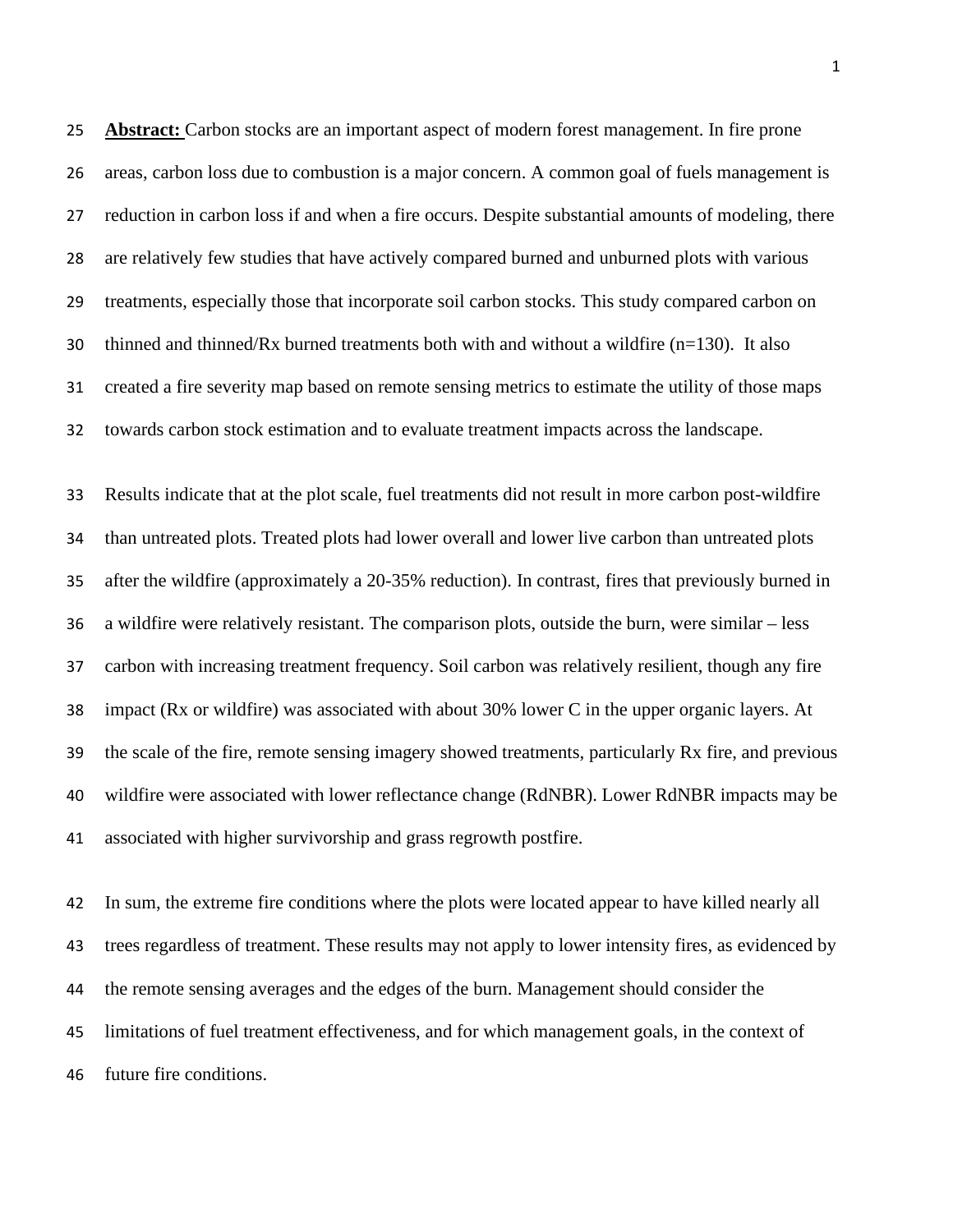**Abstract:** Carbon stocks are an important aspect of modern forest management. In fire prone areas, carbon loss due to combustion is a major concern. A common goal of fuels management is reduction in carbon loss if and when a fire occurs. Despite substantial amounts of modeling, there are relatively few studies that have actively compared burned and unburned plots with various treatments, especially those that incorporate soil carbon stocks. This study compared carbon on 30 thinned and thinned/Rx burned treatments both with and without a wildfire  $(n=130)$ . It also created a fire severity map based on remote sensing metrics to estimate the utility of those maps towards carbon stock estimation and to evaluate treatment impacts across the landscape.

 Results indicate that at the plot scale, fuel treatments did not result in more carbon post-wildfire than untreated plots. Treated plots had lower overall and lower live carbon than untreated plots after the wildfire (approximately a 20-35% reduction). In contrast, fires that previously burned in a wildfire were relatively resistant. The comparison plots, outside the burn, were similar – less carbon with increasing treatment frequency. Soil carbon was relatively resilient, though any fire impact (Rx or wildfire) was associated with about 30% lower C in the upper organic layers. At the scale of the fire, remote sensing imagery showed treatments, particularly Rx fire, and previous wildfire were associated with lower reflectance change (RdNBR). Lower RdNBR impacts may be associated with higher survivorship and grass regrowth postfire.

 In sum, the extreme fire conditions where the plots were located appear to have killed nearly all trees regardless of treatment. These results may not apply to lower intensity fires, as evidenced by the remote sensing averages and the edges of the burn. Management should consider the limitations of fuel treatment effectiveness, and for which management goals, in the context of future fire conditions.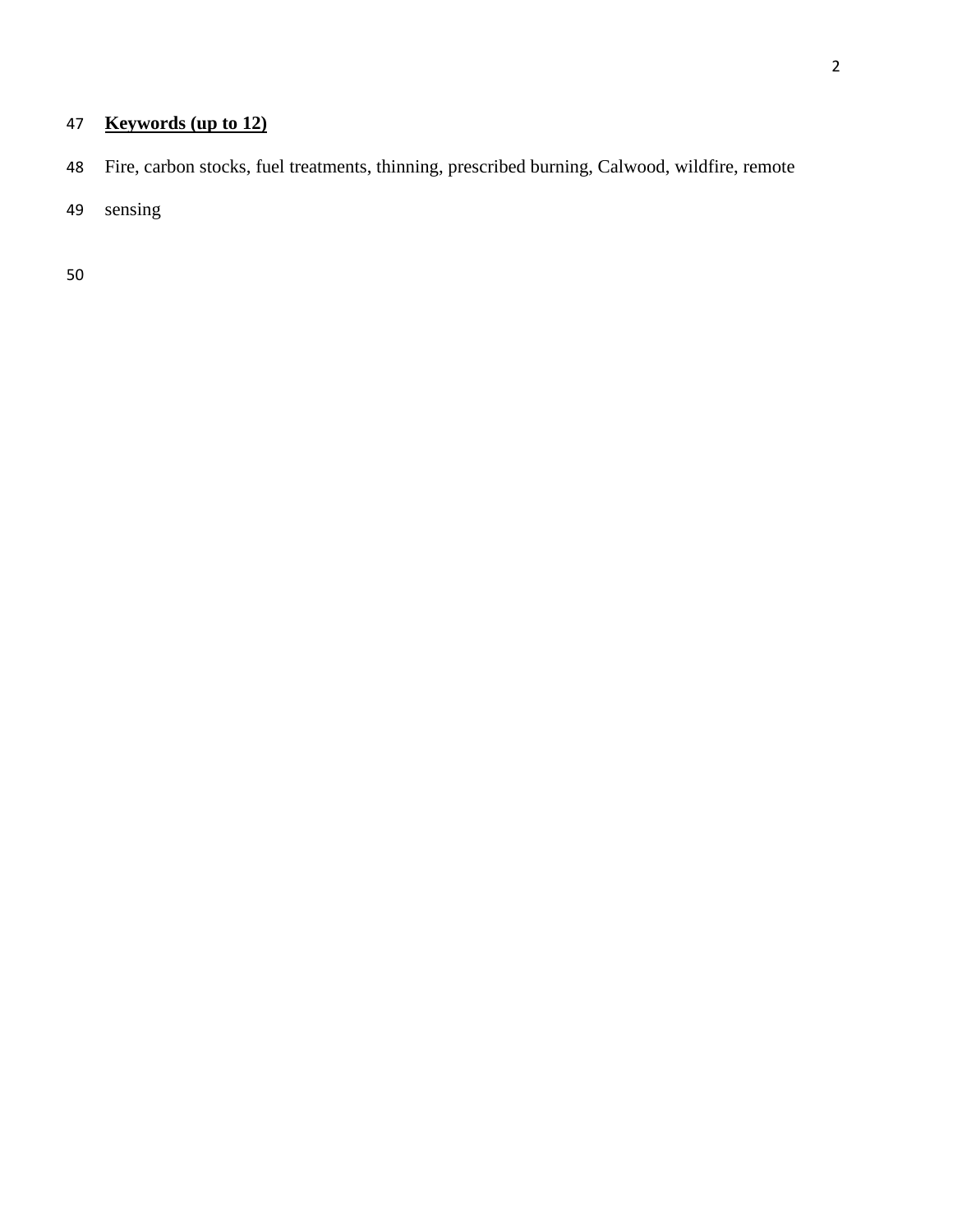# **Keywords (up to 12)**

- Fire, carbon stocks, fuel treatments, thinning, prescribed burning, Calwood, wildfire, remote
- sensing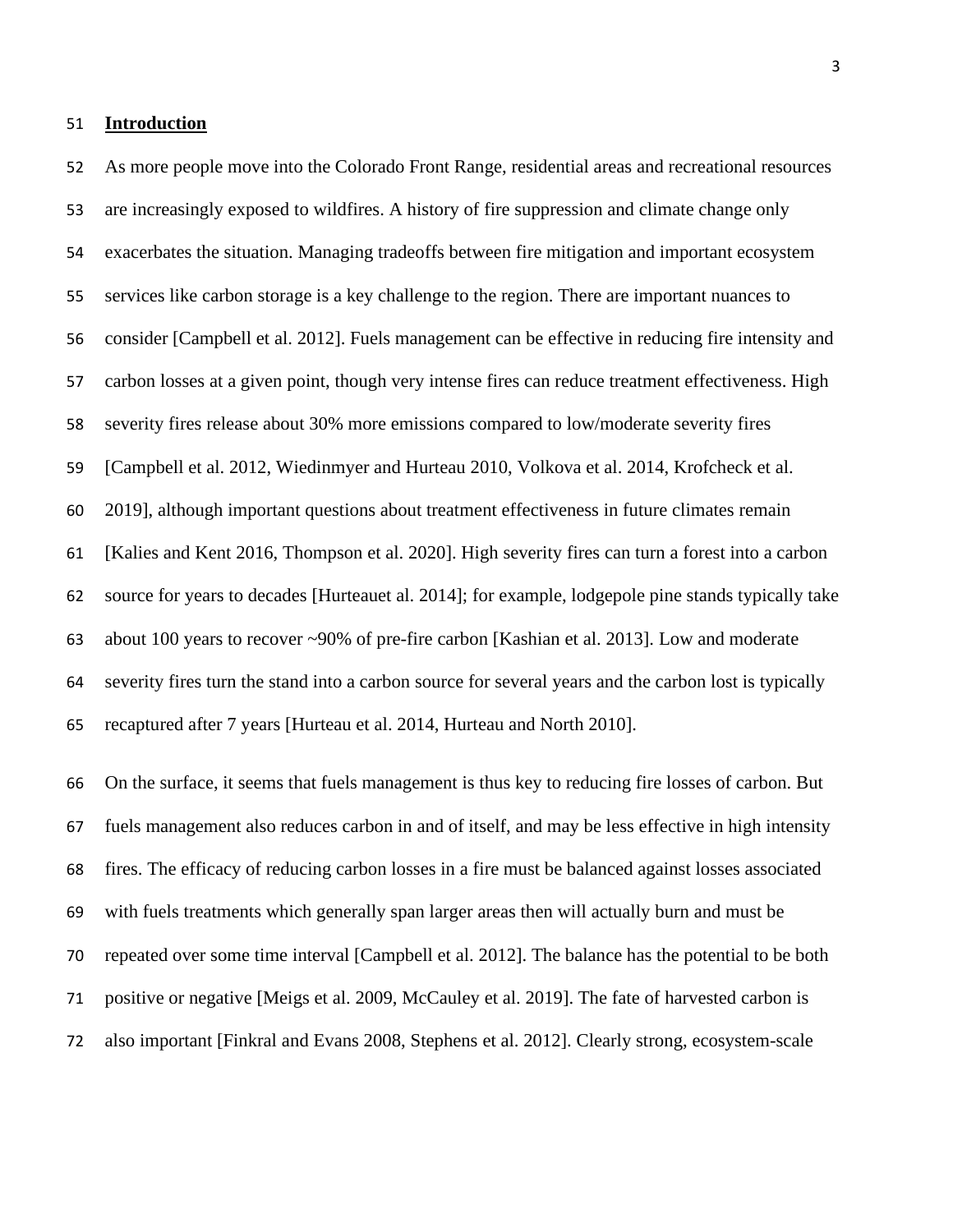### **Introduction**

 As more people move into the Colorado Front Range, residential areas and recreational resources are increasingly exposed to wildfires. A history of fire suppression and climate change only exacerbates the situation. Managing tradeoffs between fire mitigation and important ecosystem services like carbon storage is a key challenge to the region. There are important nuances to consider [Campbell et al. 2012]. Fuels management can be effective in reducing fire intensity and carbon losses at a given point, though very intense fires can reduce treatment effectiveness. High severity fires release about 30% more emissions compared to low/moderate severity fires [Campbell et al. 2012, Wiedinmyer and Hurteau 2010, Volkova et al. 2014, Krofcheck et al. 2019], although important questions about treatment effectiveness in future climates remain [Kalies and Kent 2016, Thompson et al. 2020]. High severity fires can turn a forest into a carbon source for years to decades [Hurteauet al. 2014]; for example, lodgepole pine stands typically take about 100 years to recover ~90% of pre-fire carbon [Kashian et al. 2013]. Low and moderate severity fires turn the stand into a carbon source for several years and the carbon lost is typically recaptured after 7 years [Hurteau et al. 2014, Hurteau and North 2010].

 On the surface, it seems that fuels management is thus key to reducing fire losses of carbon. But fuels management also reduces carbon in and of itself, and may be less effective in high intensity fires. The efficacy of reducing carbon losses in a fire must be balanced against losses associated with fuels treatments which generally span larger areas then will actually burn and must be repeated over some time interval [Campbell et al. 2012]. The balance has the potential to be both positive or negative [Meigs et al. 2009, McCauley et al. 2019]. The fate of harvested carbon is also important [Finkral and Evans 2008, Stephens et al. 2012]. Clearly strong, ecosystem-scale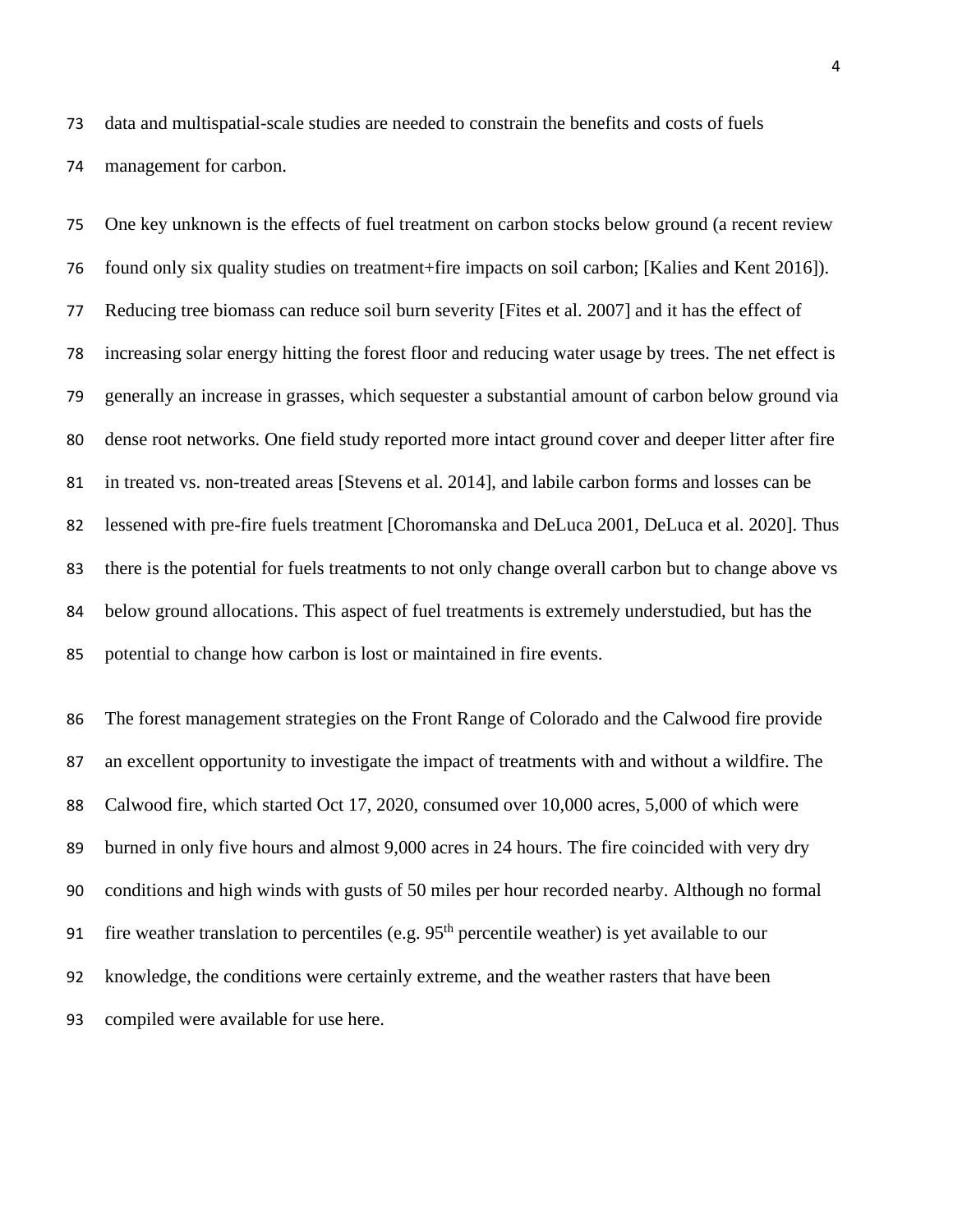data and multispatial-scale studies are needed to constrain the benefits and costs of fuels management for carbon.

 One key unknown is the effects of fuel treatment on carbon stocks below ground (a recent review found only six quality studies on treatment+fire impacts on soil carbon; [Kalies and Kent 2016]). Reducing tree biomass can reduce soil burn severity [Fites et al. 2007] and it has the effect of increasing solar energy hitting the forest floor and reducing water usage by trees. The net effect is generally an increase in grasses, which sequester a substantial amount of carbon below ground via dense root networks. One field study reported more intact ground cover and deeper litter after fire in treated vs. non-treated areas [Stevens et al. 2014], and labile carbon forms and losses can be lessened with pre-fire fuels treatment [Choromanska and DeLuca 2001, DeLuca et al. 2020]. Thus there is the potential for fuels treatments to not only change overall carbon but to change above vs below ground allocations. This aspect of fuel treatments is extremely understudied, but has the potential to change how carbon is lost or maintained in fire events.

 The forest management strategies on the Front Range of Colorado and the Calwood fire provide an excellent opportunity to investigate the impact of treatments with and without a wildfire. The Calwood fire, which started Oct 17, 2020, consumed over 10,000 acres, 5,000 of which were burned in only five hours and almost 9,000 acres in 24 hours. The fire coincided with very dry conditions and high winds with gusts of 50 miles per hour recorded nearby. Although no formal 91 fire weather translation to percentiles (e.g.  $95<sup>th</sup>$  percentile weather) is yet available to our knowledge, the conditions were certainly extreme, and the weather rasters that have been compiled were available for use here.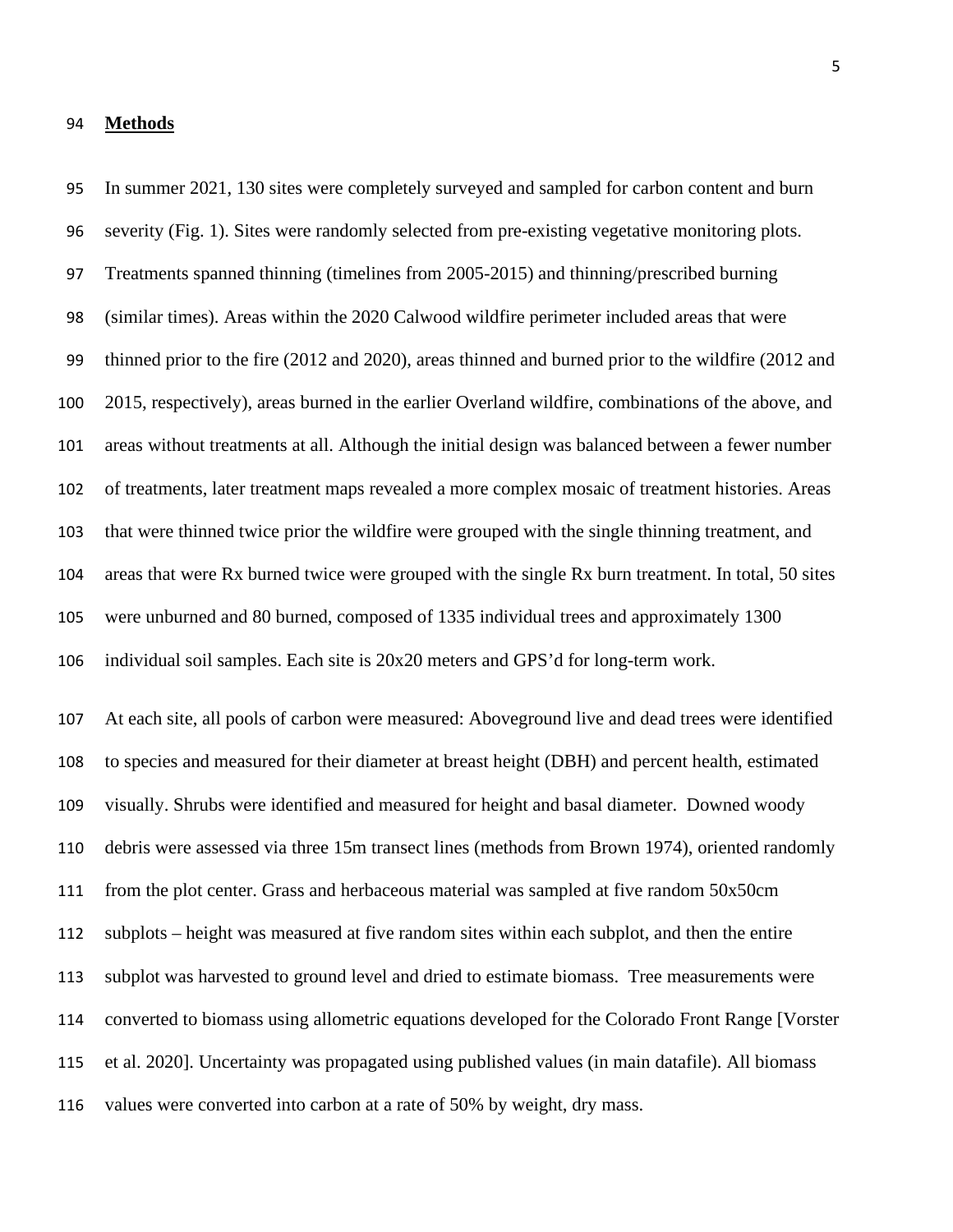#### **Methods**

 severity (Fig. 1). Sites were randomly selected from pre-existing vegetative monitoring plots. Treatments spanned thinning (timelines from 2005-2015) and thinning/prescribed burning (similar times). Areas within the 2020 Calwood wildfire perimeter included areas that were thinned prior to the fire (2012 and 2020), areas thinned and burned prior to the wildfire (2012 and 2015, respectively), areas burned in the earlier Overland wildfire, combinations of the above, and areas without treatments at all. Although the initial design was balanced between a fewer number of treatments, later treatment maps revealed a more complex mosaic of treatment histories. Areas that were thinned twice prior the wildfire were grouped with the single thinning treatment, and areas that were Rx burned twice were grouped with the single Rx burn treatment. In total, 50 sites were unburned and 80 burned, composed of 1335 individual trees and approximately 1300 individual soil samples. Each site is 20x20 meters and GPS'd for long-term work.

In summer 2021, 130 sites were completely surveyed and sampled for carbon content and burn

 At each site, all pools of carbon were measured: Aboveground live and dead trees were identified to species and measured for their diameter at breast height (DBH) and percent health, estimated visually. Shrubs were identified and measured for height and basal diameter. Downed woody debris were assessed via three 15m transect lines (methods from Brown 1974), oriented randomly from the plot center. Grass and herbaceous material was sampled at five random 50x50cm subplots – height was measured at five random sites within each subplot, and then the entire subplot was harvested to ground level and dried to estimate biomass. Tree measurements were converted to biomass using allometric equations developed for the Colorado Front Range [Vorster et al. 2020]. Uncertainty was propagated using published values (in main datafile). All biomass values were converted into carbon at a rate of 50% by weight, dry mass.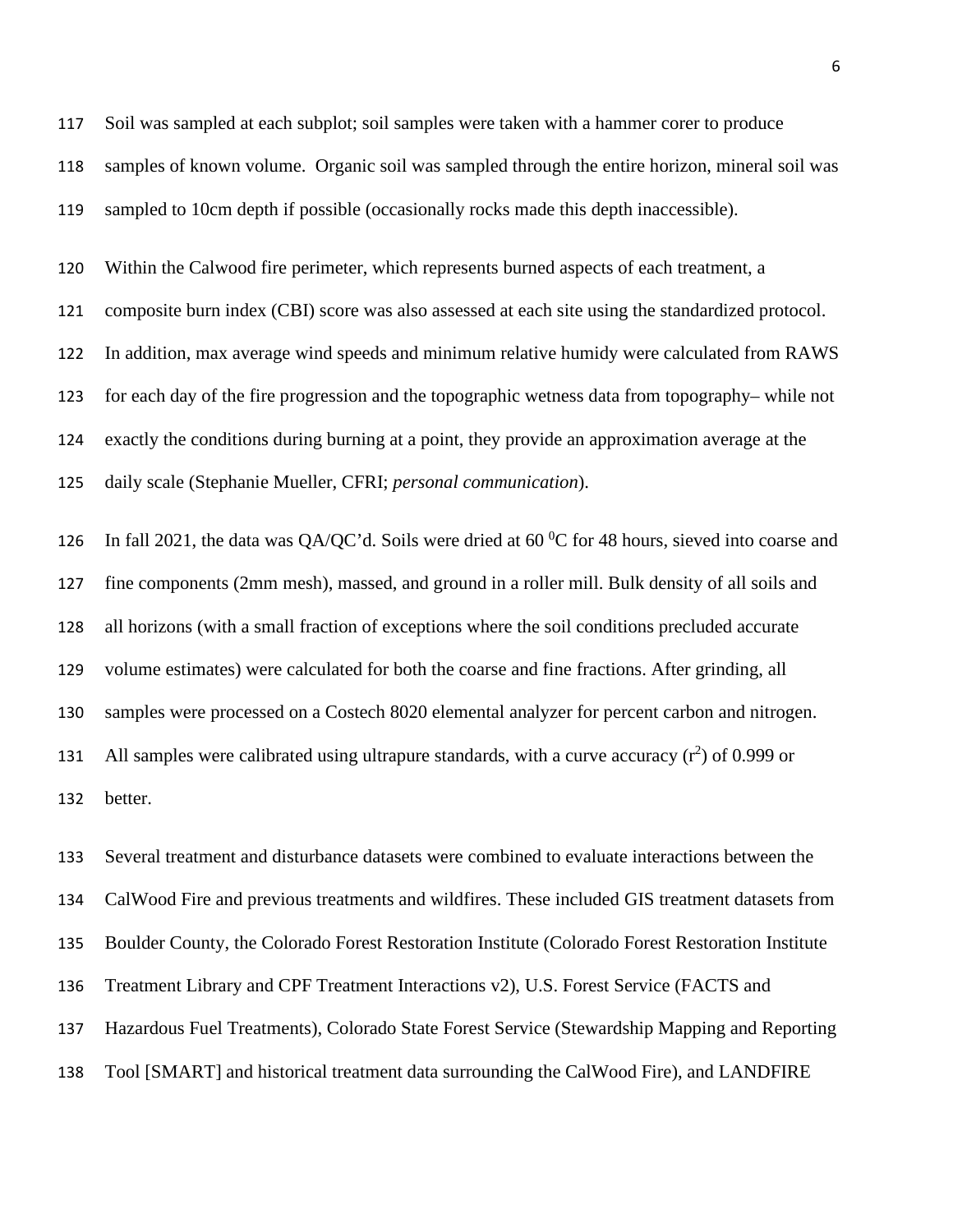Soil was sampled at each subplot; soil samples were taken with a hammer corer to produce samples of known volume. Organic soil was sampled through the entire horizon, mineral soil was sampled to 10cm depth if possible (occasionally rocks made this depth inaccessible).

Within the Calwood fire perimeter, which represents burned aspects of each treatment, a

composite burn index (CBI) score was also assessed at each site using the standardized protocol.

In addition, max average wind speeds and minimum relative humidy were calculated from RAWS

for each day of the fire progression and the topographic wetness data from topography– while not

exactly the conditions during burning at a point, they provide an approximation average at the

daily scale (Stephanie Mueller, CFRI; *personal communication*).

126 In fall 2021, the data was QA/QC'd. Soils were dried at  $60\,^{\circ}$ C for 48 hours, sieved into coarse and fine components (2mm mesh), massed, and ground in a roller mill. Bulk density of all soils and all horizons (with a small fraction of exceptions where the soil conditions precluded accurate volume estimates) were calculated for both the coarse and fine fractions. After grinding, all samples were processed on a Costech 8020 elemental analyzer for percent carbon and nitrogen. 131 All samples were calibrated using ultrapure standards, with a curve accuracy  $(r^2)$  of 0.999 or better.

 Several treatment and disturbance datasets were combined to evaluate interactions between the CalWood Fire and previous treatments and wildfires. These included GIS treatment datasets from Boulder County, the Colorado Forest Restoration Institute (Colorado Forest Restoration Institute Treatment Library and CPF Treatment Interactions v2), U.S. Forest Service (FACTS and Hazardous Fuel Treatments), Colorado State Forest Service (Stewardship Mapping and Reporting Tool [SMART] and historical treatment data surrounding the CalWood Fire), and LANDFIRE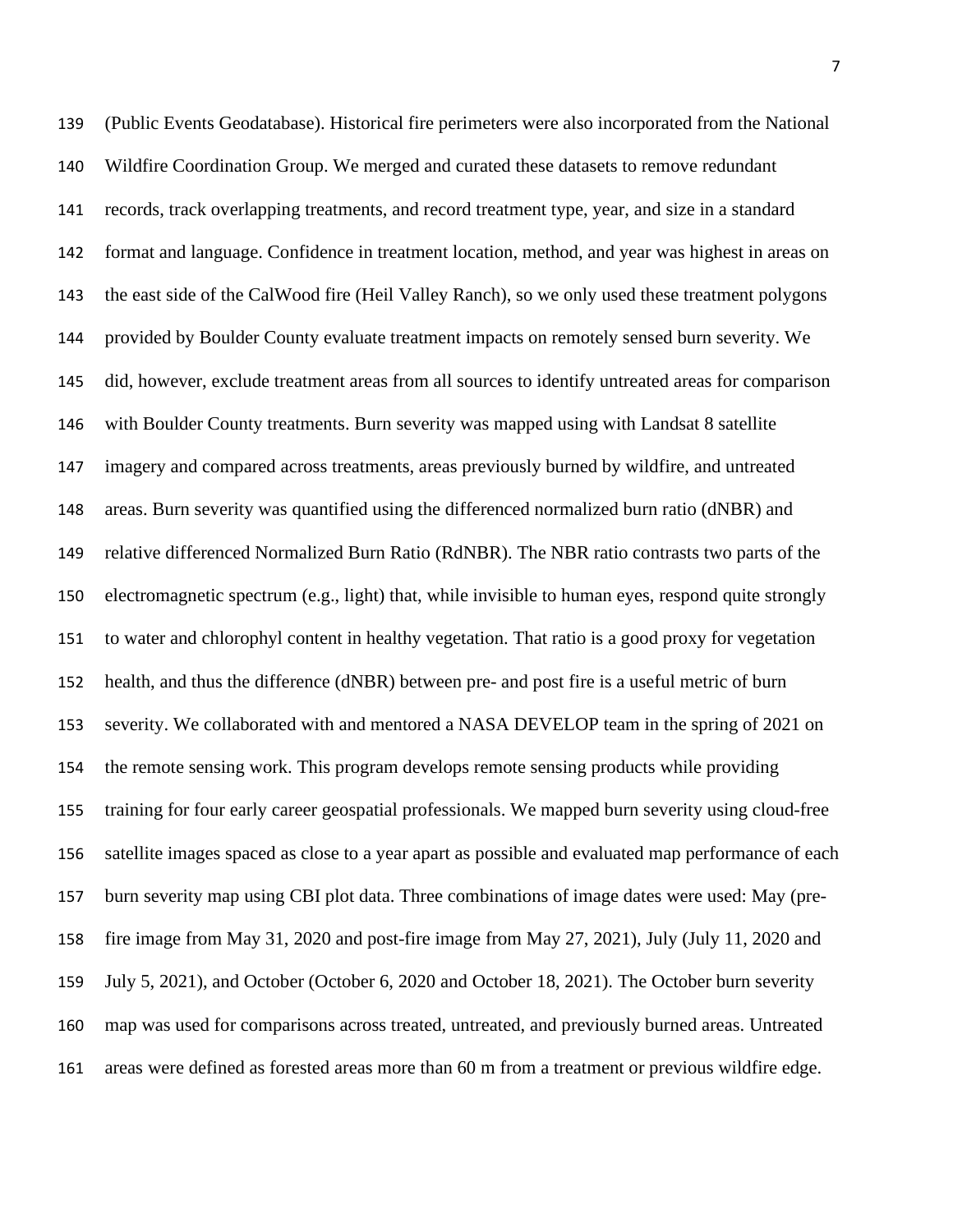(Public Events Geodatabase). Historical fire perimeters were also incorporated from the National Wildfire Coordination Group. We merged and curated these datasets to remove redundant records, track overlapping treatments, and record treatment type, year, and size in a standard format and language. Confidence in treatment location, method, and year was highest in areas on the east side of the CalWood fire (Heil Valley Ranch), so we only used these treatment polygons provided by Boulder County evaluate treatment impacts on remotely sensed burn severity. We did, however, exclude treatment areas from all sources to identify untreated areas for comparison with Boulder County treatments. Burn severity was mapped using with Landsat 8 satellite imagery and compared across treatments, areas previously burned by wildfire, and untreated areas. Burn severity was quantified using the differenced normalized burn ratio (dNBR) and relative differenced Normalized Burn Ratio (RdNBR). The NBR ratio contrasts two parts of the electromagnetic spectrum (e.g., light) that, while invisible to human eyes, respond quite strongly to water and chlorophyl content in healthy vegetation. That ratio is a good proxy for vegetation health, and thus the difference (dNBR) between pre- and post fire is a useful metric of burn severity. We collaborated with and mentored a NASA DEVELOP team in the spring of 2021 on the remote sensing work. This program develops remote sensing products while providing training for four early career geospatial professionals. We mapped burn severity using cloud-free satellite images spaced as close to a year apart as possible and evaluated map performance of each burn severity map using CBI plot data. Three combinations of image dates were used: May (pre- fire image from May 31, 2020 and post-fire image from May 27, 2021), July (July 11, 2020 and July 5, 2021), and October (October 6, 2020 and October 18, 2021). The October burn severity map was used for comparisons across treated, untreated, and previously burned areas. Untreated areas were defined as forested areas more than 60 m from a treatment or previous wildfire edge.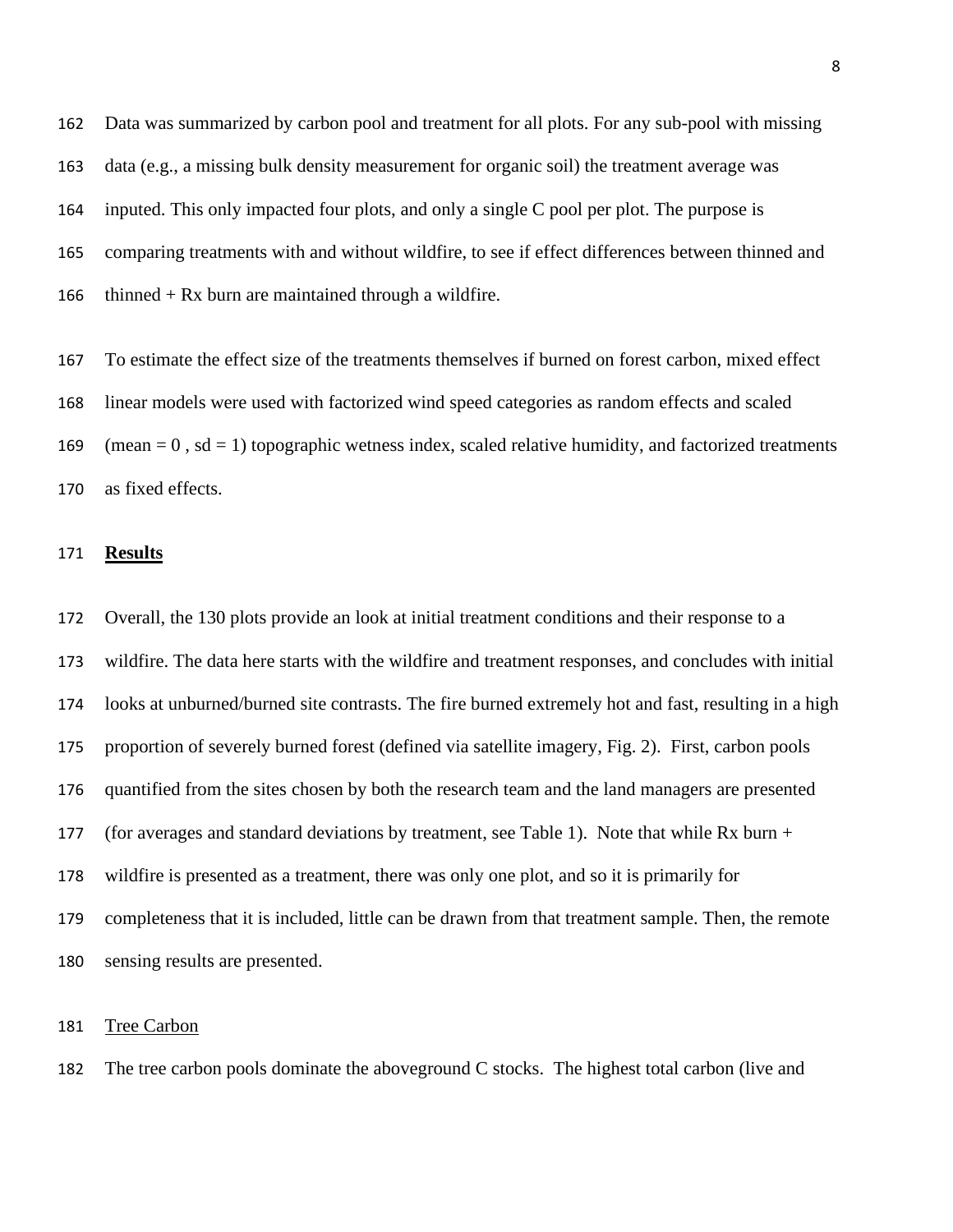Data was summarized by carbon pool and treatment for all plots. For any sub-pool with missing data (e.g., a missing bulk density measurement for organic soil) the treatment average was inputed. This only impacted four plots, and only a single C pool per plot. The purpose is comparing treatments with and without wildfire, to see if effect differences between thinned and 166 thinned  $+ Rx$  burn are maintained through a wildfire.

 To estimate the effect size of the treatments themselves if burned on forest carbon, mixed effect linear models were used with factorized wind speed categories as random effects and scaled 169 (mean  $= 0$ , sd  $= 1$ ) topographic wetness index, scaled relative humidity, and factorized treatments as fixed effects.

### **Results**

 Overall, the 130 plots provide an look at initial treatment conditions and their response to a wildfire. The data here starts with the wildfire and treatment responses, and concludes with initial looks at unburned/burned site contrasts. The fire burned extremely hot and fast, resulting in a high proportion of severely burned forest (defined via satellite imagery, Fig. 2). First, carbon pools quantified from the sites chosen by both the research team and the land managers are presented 177 (for averages and standard deviations by treatment, see Table 1). Note that while Rx burn + wildfire is presented as a treatment, there was only one plot, and so it is primarily for completeness that it is included, little can be drawn from that treatment sample. Then, the remote sensing results are presented.

### Tree Carbon

The tree carbon pools dominate the aboveground C stocks. The highest total carbon (live and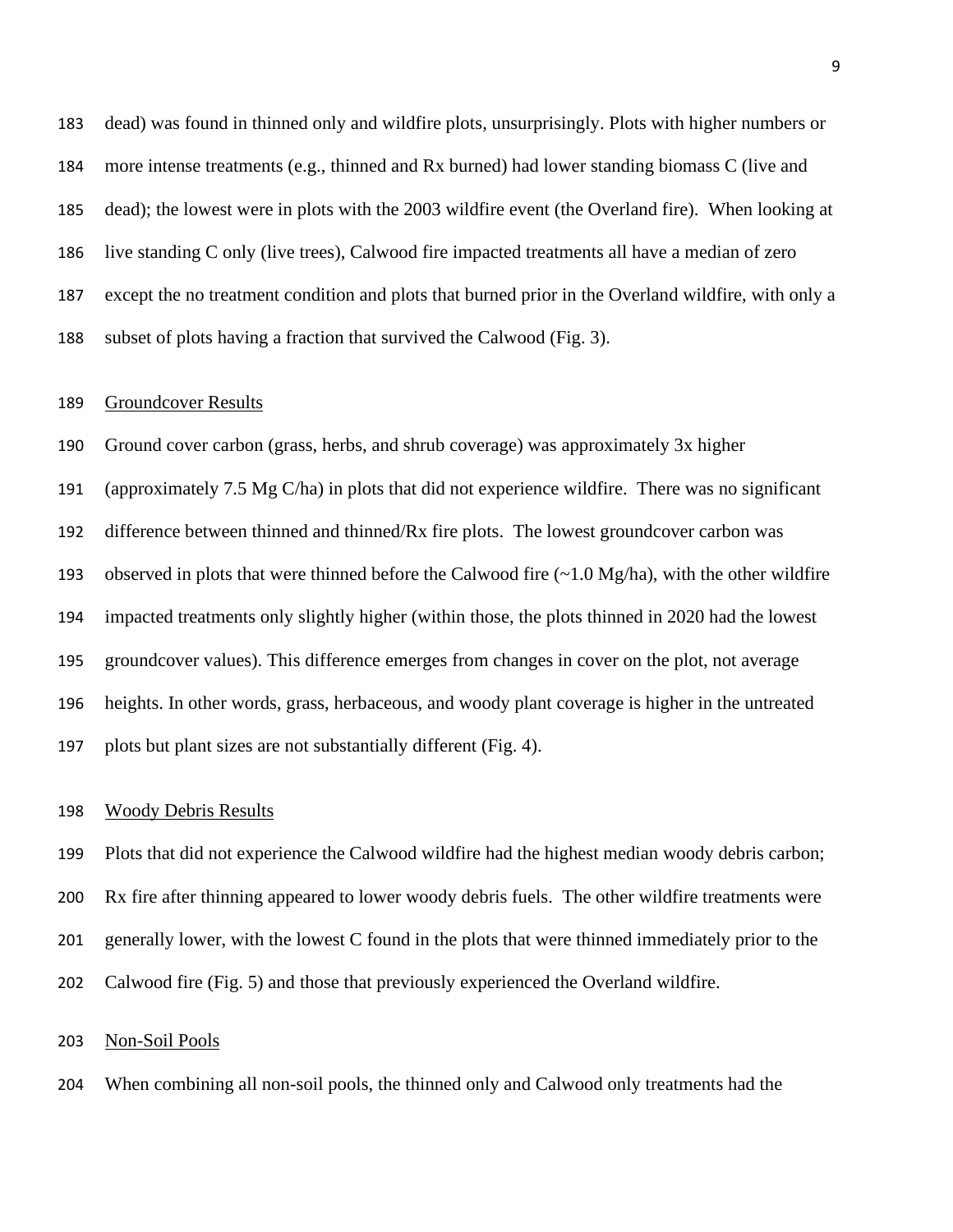dead) was found in thinned only and wildfire plots, unsurprisingly. Plots with higher numbers or more intense treatments (e.g., thinned and Rx burned) had lower standing biomass C (live and dead); the lowest were in plots with the 2003 wildfire event (the Overland fire). When looking at live standing C only (live trees), Calwood fire impacted treatments all have a median of zero except the no treatment condition and plots that burned prior in the Overland wildfire, with only a subset of plots having a fraction that survived the Calwood (Fig. 3).

### Groundcover Results

 Ground cover carbon (grass, herbs, and shrub coverage) was approximately 3x higher (approximately 7.5 Mg C/ha) in plots that did not experience wildfire. There was no significant difference between thinned and thinned/Rx fire plots. The lowest groundcover carbon was 193 observed in plots that were thinned before the Calwood fire  $\left(\sim 1.0 \text{ Mg/ha}\right)$ , with the other wildfire impacted treatments only slightly higher (within those, the plots thinned in 2020 had the lowest groundcover values). This difference emerges from changes in cover on the plot, not average heights. In other words, grass, herbaceous, and woody plant coverage is higher in the untreated plots but plant sizes are not substantially different (Fig. 4).

#### Woody Debris Results

 Plots that did not experience the Calwood wildfire had the highest median woody debris carbon; Rx fire after thinning appeared to lower woody debris fuels. The other wildfire treatments were generally lower, with the lowest C found in the plots that were thinned immediately prior to the Calwood fire (Fig. 5) and those that previously experienced the Overland wildfire.

### Non-Soil Pools

When combining all non-soil pools, the thinned only and Calwood only treatments had the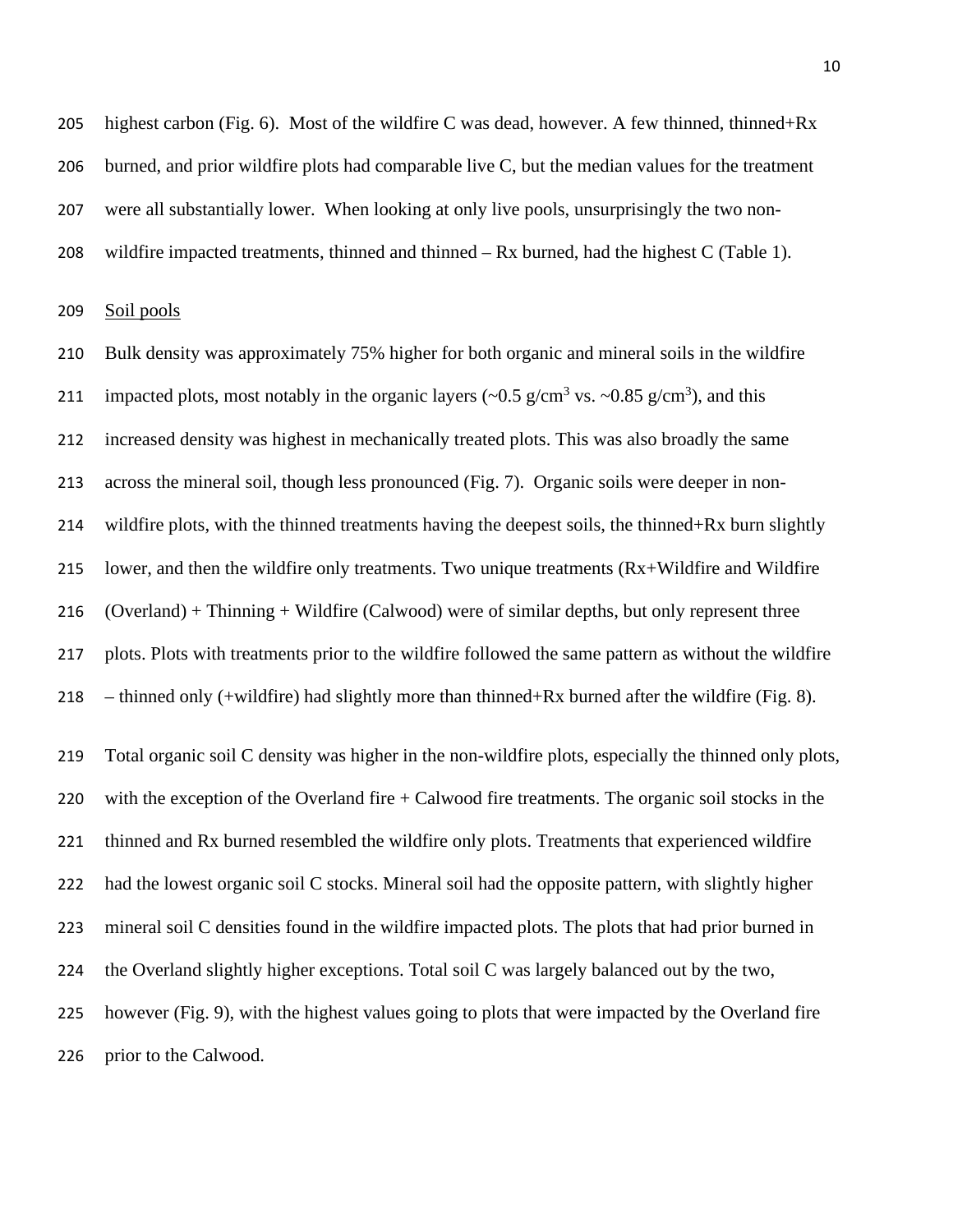205 highest carbon (Fig. 6). Most of the wildfire C was dead, however. A few thinned, thinned+Rx burned, and prior wildfire plots had comparable live C, but the median values for the treatment were all substantially lower. When looking at only live pools, unsurprisingly the two non-wildfire impacted treatments, thinned and thinned – Rx burned, had the highest C (Table 1).

Soil pools

 Bulk density was approximately 75% higher for both organic and mineral soils in the wildfire 211 impacted plots, most notably in the organic layers ( $\sim 0.5$  g/cm<sup>3</sup> vs.  $\sim 0.85$  g/cm<sup>3</sup>), and this increased density was highest in mechanically treated plots. This was also broadly the same across the mineral soil, though less pronounced (Fig. 7). Organic soils were deeper in non- wildfire plots, with the thinned treatments having the deepest soils, the thinned+Rx burn slightly lower, and then the wildfire only treatments. Two unique treatments (Rx+Wildfire and Wildfire (Overland) + Thinning + Wildfire (Calwood) were of similar depths, but only represent three plots. Plots with treatments prior to the wildfire followed the same pattern as without the wildfire 218 – thinned only (+wildfire) had slightly more than thinned+Rx burned after the wildfire (Fig. 8). Total organic soil C density was higher in the non-wildfire plots, especially the thinned only plots,

 with the exception of the Overland fire + Calwood fire treatments. The organic soil stocks in the thinned and Rx burned resembled the wildfire only plots. Treatments that experienced wildfire had the lowest organic soil C stocks. Mineral soil had the opposite pattern, with slightly higher mineral soil C densities found in the wildfire impacted plots. The plots that had prior burned in the Overland slightly higher exceptions. Total soil C was largely balanced out by the two, however (Fig. 9), with the highest values going to plots that were impacted by the Overland fire prior to the Calwood.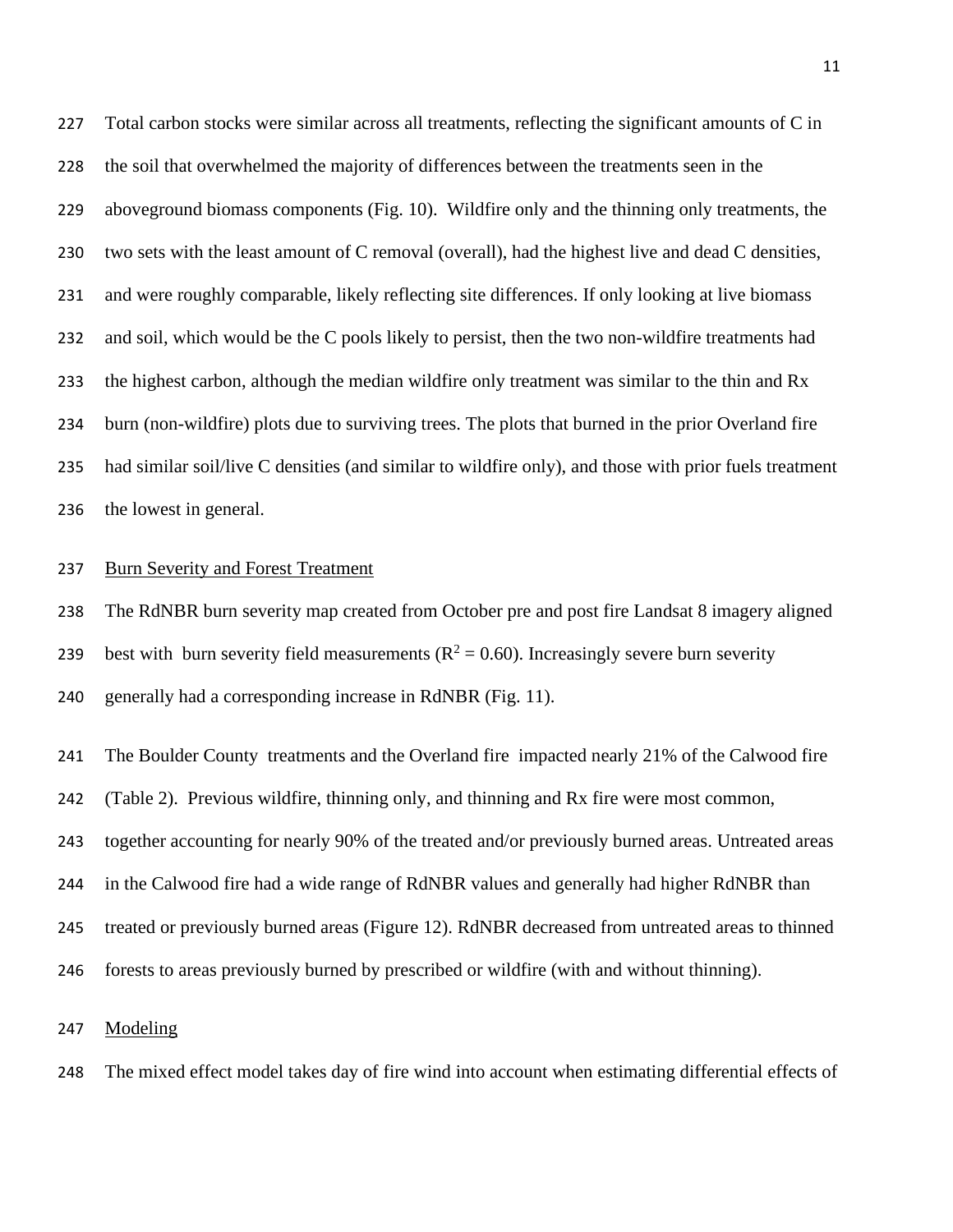Total carbon stocks were similar across all treatments, reflecting the significant amounts of C in the soil that overwhelmed the majority of differences between the treatments seen in the aboveground biomass components (Fig. 10). Wildfire only and the thinning only treatments, the two sets with the least amount of C removal (overall), had the highest live and dead C densities, and were roughly comparable, likely reflecting site differences. If only looking at live biomass and soil, which would be the C pools likely to persist, then the two non-wildfire treatments had the highest carbon, although the median wildfire only treatment was similar to the thin and Rx burn (non-wildfire) plots due to surviving trees. The plots that burned in the prior Overland fire had similar soil/live C densities (and similar to wildfire only), and those with prior fuels treatment the lowest in general.

### Burn Severity and Forest Treatment

 The RdNBR burn severity map created from October pre and post fire Landsat 8 imagery aligned 239 best with burn severity field measurements ( $R^2 = 0.60$ ). Increasingly severe burn severity generally had a corresponding increase in RdNBR (Fig. 11).

 The Boulder County treatments and the Overland fire impacted nearly 21% of the Calwood fire (Table 2). Previous wildfire, thinning only, and thinning and Rx fire were most common, together accounting for nearly 90% of the treated and/or previously burned areas. Untreated areas in the Calwood fire had a wide range of RdNBR values and generally had higher RdNBR than treated or previously burned areas (Figure 12). RdNBR decreased from untreated areas to thinned forests to areas previously burned by prescribed or wildfire (with and without thinning).

Modeling

The mixed effect model takes day of fire wind into account when estimating differential effects of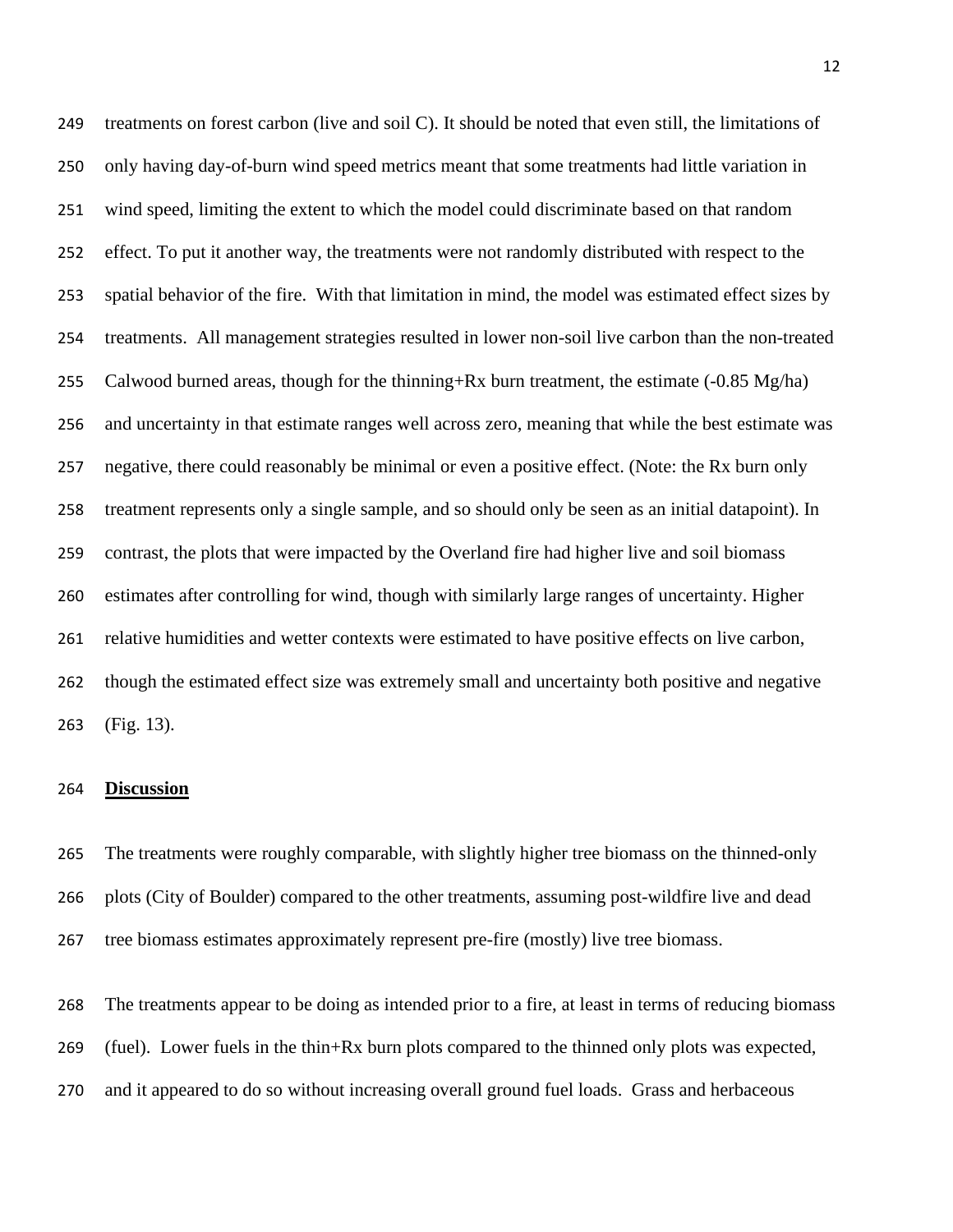treatments on forest carbon (live and soil C). It should be noted that even still, the limitations of only having day-of-burn wind speed metrics meant that some treatments had little variation in wind speed, limiting the extent to which the model could discriminate based on that random effect. To put it another way, the treatments were not randomly distributed with respect to the spatial behavior of the fire. With that limitation in mind, the model was estimated effect sizes by treatments. All management strategies resulted in lower non-soil live carbon than the non-treated 255 Calwood burned areas, though for the thinning+Rx burn treatment, the estimate  $(-0.85 \text{ Mg/ha})$  and uncertainty in that estimate ranges well across zero, meaning that while the best estimate was negative, there could reasonably be minimal or even a positive effect. (Note: the Rx burn only treatment represents only a single sample, and so should only be seen as an initial datapoint). In contrast, the plots that were impacted by the Overland fire had higher live and soil biomass estimates after controlling for wind, though with similarly large ranges of uncertainty. Higher relative humidities and wetter contexts were estimated to have positive effects on live carbon, though the estimated effect size was extremely small and uncertainty both positive and negative (Fig. 13).

### **Discussion**

 The treatments were roughly comparable, with slightly higher tree biomass on the thinned-only plots (City of Boulder) compared to the other treatments, assuming post-wildfire live and dead tree biomass estimates approximately represent pre-fire (mostly) live tree biomass.

 The treatments appear to be doing as intended prior to a fire, at least in terms of reducing biomass (fuel). Lower fuels in the thin+Rx burn plots compared to the thinned only plots was expected, and it appeared to do so without increasing overall ground fuel loads. Grass and herbaceous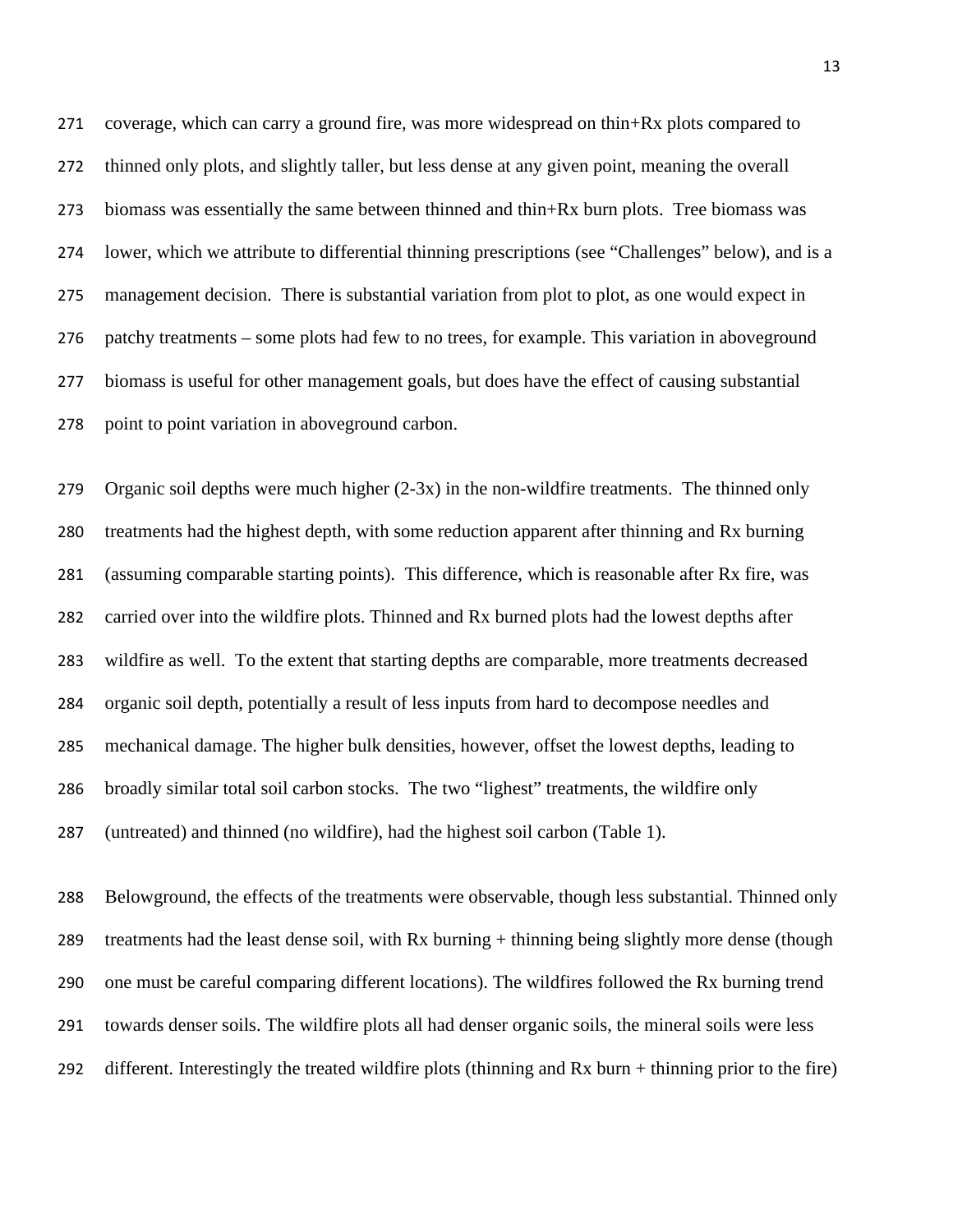coverage, which can carry a ground fire, was more widespread on thin+Rx plots compared to thinned only plots, and slightly taller, but less dense at any given point, meaning the overall biomass was essentially the same between thinned and thin+Rx burn plots. Tree biomass was lower, which we attribute to differential thinning prescriptions (see "Challenges" below), and is a management decision. There is substantial variation from plot to plot, as one would expect in patchy treatments – some plots had few to no trees, for example. This variation in aboveground biomass is useful for other management goals, but does have the effect of causing substantial point to point variation in aboveground carbon.

 Organic soil depths were much higher (2-3x) in the non-wildfire treatments. The thinned only treatments had the highest depth, with some reduction apparent after thinning and Rx burning (assuming comparable starting points). This difference, which is reasonable after Rx fire, was carried over into the wildfire plots. Thinned and Rx burned plots had the lowest depths after wildfire as well. To the extent that starting depths are comparable, more treatments decreased organic soil depth, potentially a result of less inputs from hard to decompose needles and mechanical damage. The higher bulk densities, however, offset the lowest depths, leading to broadly similar total soil carbon stocks. The two "lighest" treatments, the wildfire only (untreated) and thinned (no wildfire), had the highest soil carbon (Table 1).

 Belowground, the effects of the treatments were observable, though less substantial. Thinned only 289 treatments had the least dense soil, with Rx burning + thinning being slightly more dense (though one must be careful comparing different locations). The wildfires followed the Rx burning trend towards denser soils. The wildfire plots all had denser organic soils, the mineral soils were less different. Interestingly the treated wildfire plots (thinning and Rx burn + thinning prior to the fire)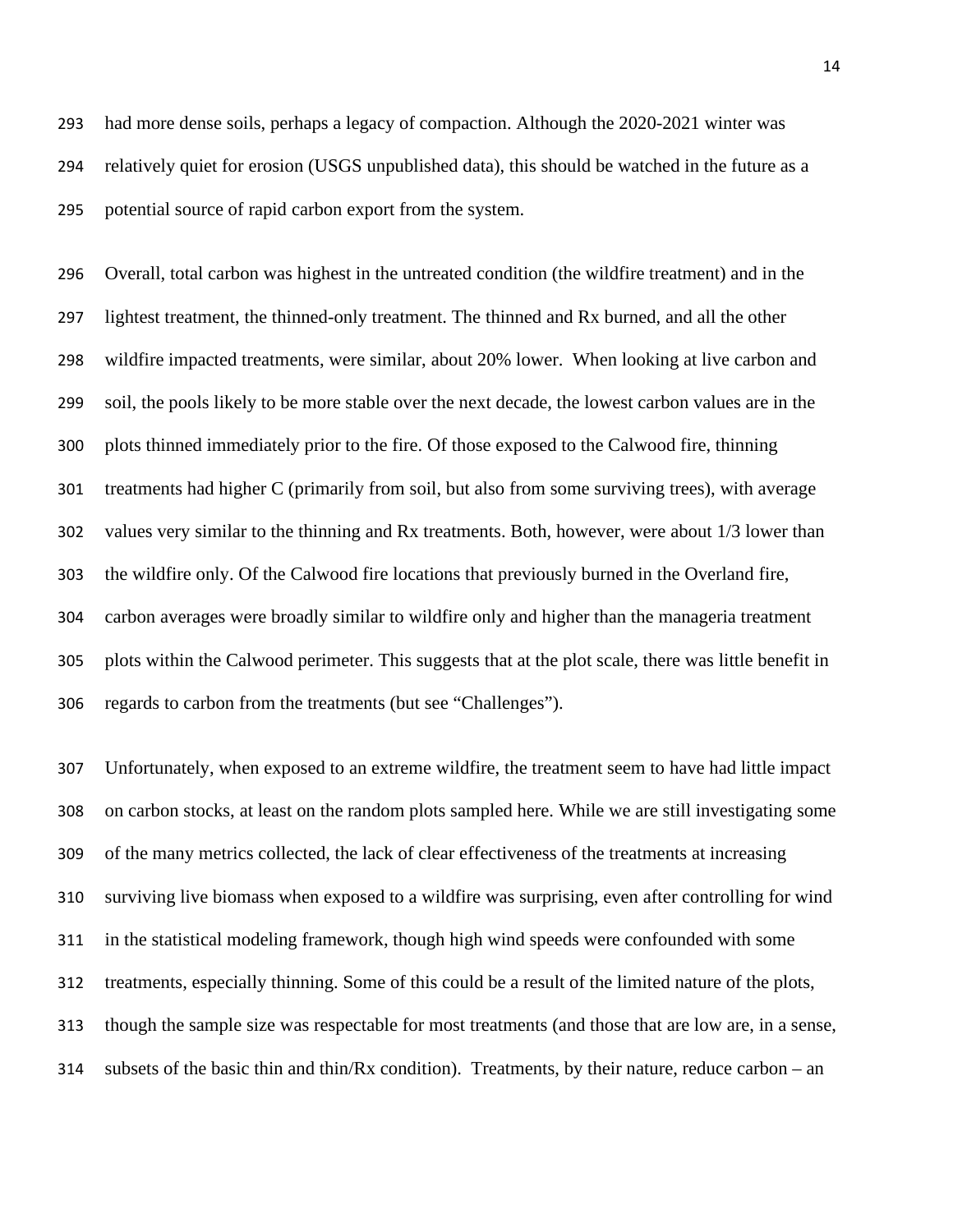had more dense soils, perhaps a legacy of compaction. Although the 2020-2021 winter was relatively quiet for erosion (USGS unpublished data), this should be watched in the future as a potential source of rapid carbon export from the system.

 Overall, total carbon was highest in the untreated condition (the wildfire treatment) and in the lightest treatment, the thinned-only treatment. The thinned and Rx burned, and all the other wildfire impacted treatments, were similar, about 20% lower. When looking at live carbon and soil, the pools likely to be more stable over the next decade, the lowest carbon values are in the plots thinned immediately prior to the fire. Of those exposed to the Calwood fire, thinning treatments had higher C (primarily from soil, but also from some surviving trees), with average values very similar to the thinning and Rx treatments. Both, however, were about 1/3 lower than the wildfire only. Of the Calwood fire locations that previously burned in the Overland fire, carbon averages were broadly similar to wildfire only and higher than the manageria treatment plots within the Calwood perimeter. This suggests that at the plot scale, there was little benefit in regards to carbon from the treatments (but see "Challenges").

 Unfortunately, when exposed to an extreme wildfire, the treatment seem to have had little impact on carbon stocks, at least on the random plots sampled here. While we are still investigating some of the many metrics collected, the lack of clear effectiveness of the treatments at increasing surviving live biomass when exposed to a wildfire was surprising, even after controlling for wind in the statistical modeling framework, though high wind speeds were confounded with some treatments, especially thinning. Some of this could be a result of the limited nature of the plots, though the sample size was respectable for most treatments (and those that are low are, in a sense, subsets of the basic thin and thin/Rx condition). Treatments, by their nature, reduce carbon – an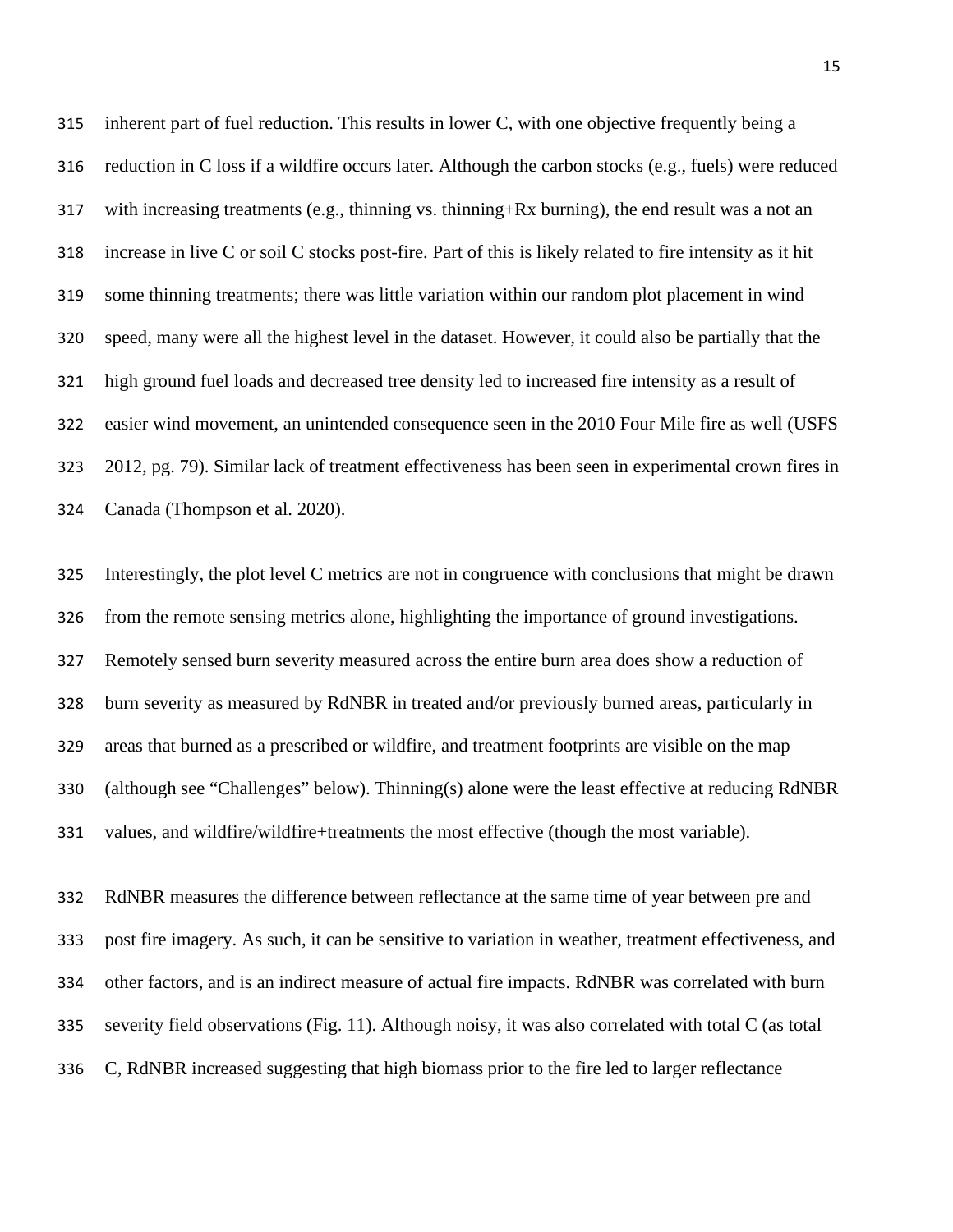inherent part of fuel reduction. This results in lower C, with one objective frequently being a reduction in C loss if a wildfire occurs later. Although the carbon stocks (e.g., fuels) were reduced with increasing treatments (e.g., thinning vs. thinning+Rx burning), the end result was a not an increase in live C or soil C stocks post-fire. Part of this is likely related to fire intensity as it hit some thinning treatments; there was little variation within our random plot placement in wind speed, many were all the highest level in the dataset. However, it could also be partially that the high ground fuel loads and decreased tree density led to increased fire intensity as a result of easier wind movement, an unintended consequence seen in the 2010 Four Mile fire as well (USFS 2012, pg. 79). Similar lack of treatment effectiveness has been seen in experimental crown fires in Canada (Thompson et al. 2020).

 Interestingly, the plot level C metrics are not in congruence with conclusions that might be drawn from the remote sensing metrics alone, highlighting the importance of ground investigations. Remotely sensed burn severity measured across the entire burn area does show a reduction of burn severity as measured by RdNBR in treated and/or previously burned areas, particularly in areas that burned as a prescribed or wildfire, and treatment footprints are visible on the map (although see "Challenges" below). Thinning(s) alone were the least effective at reducing RdNBR values, and wildfire/wildfire+treatments the most effective (though the most variable).

 RdNBR measures the difference between reflectance at the same time of year between pre and post fire imagery. As such, it can be sensitive to variation in weather, treatment effectiveness, and other factors, and is an indirect measure of actual fire impacts. RdNBR was correlated with burn severity field observations (Fig. 11). Although noisy, it was also correlated with total C (as total C, RdNBR increased suggesting that high biomass prior to the fire led to larger reflectance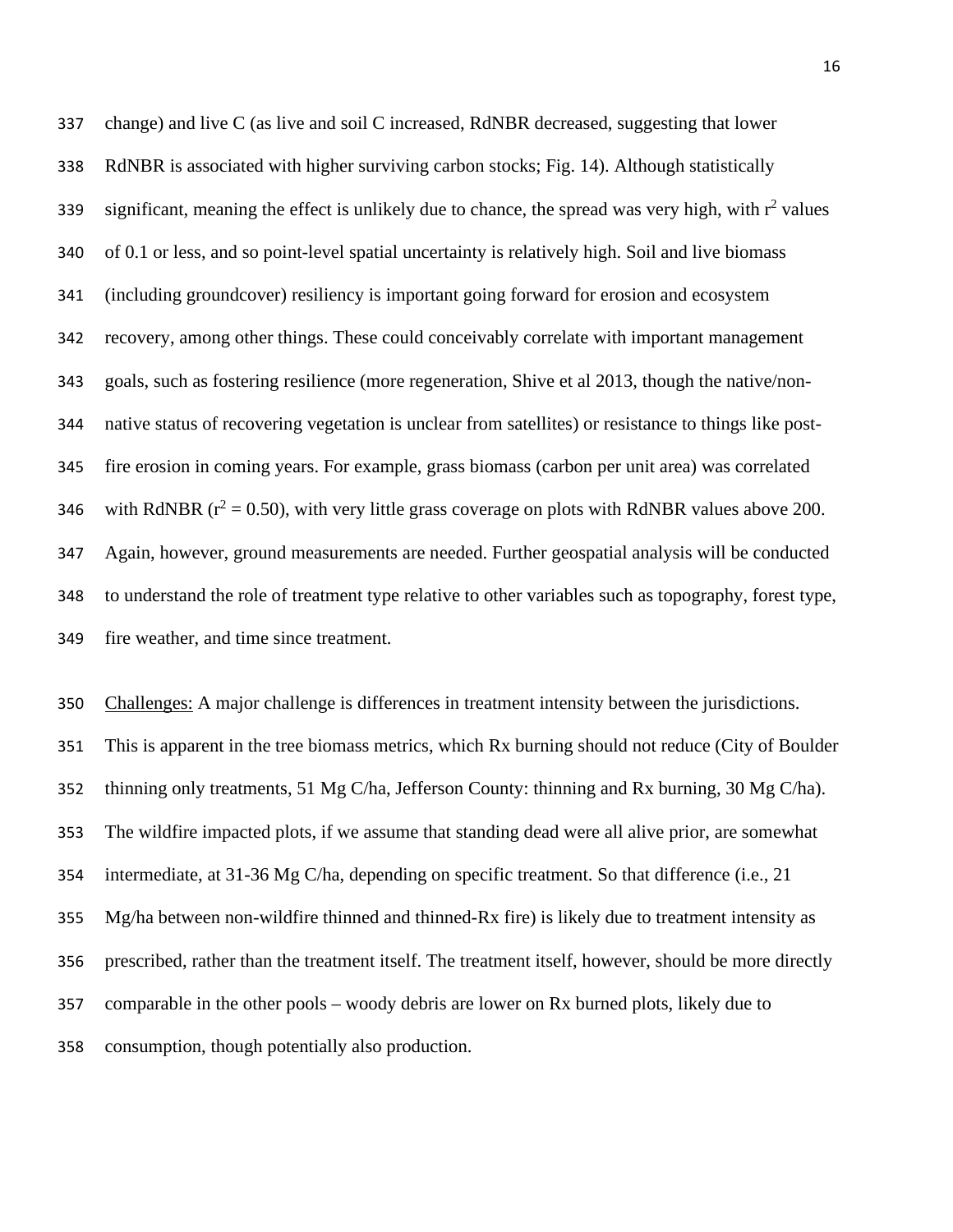change) and live C (as live and soil C increased, RdNBR decreased, suggesting that lower RdNBR is associated with higher surviving carbon stocks; Fig. 14). Although statistically significant, meaning the effect is unlikely due to chance, the spread was very high, with  $r^2$  values of 0.1 or less, and so point-level spatial uncertainty is relatively high. Soil and live biomass (including groundcover) resiliency is important going forward for erosion and ecosystem recovery, among other things. These could conceivably correlate with important management goals, such as fostering resilience (more regeneration, Shive et al 2013, though the native/non- native status of recovering vegetation is unclear from satellites) or resistance to things like post- fire erosion in coming years. For example, grass biomass (carbon per unit area) was correlated 346 with RdNBR ( $r^2 = 0.50$ ), with very little grass coverage on plots with RdNBR values above 200. Again, however, ground measurements are needed. Further geospatial analysis will be conducted to understand the role of treatment type relative to other variables such as topography, forest type, fire weather, and time since treatment.

 Challenges: A major challenge is differences in treatment intensity between the jurisdictions. This is apparent in the tree biomass metrics, which Rx burning should not reduce (City of Boulder thinning only treatments, 51 Mg C/ha, Jefferson County: thinning and Rx burning, 30 Mg C/ha). The wildfire impacted plots, if we assume that standing dead were all alive prior, are somewhat intermediate, at 31-36 Mg C/ha, depending on specific treatment. So that difference (i.e., 21 Mg/ha between non-wildfire thinned and thinned-Rx fire) is likely due to treatment intensity as prescribed, rather than the treatment itself. The treatment itself, however, should be more directly comparable in the other pools – woody debris are lower on Rx burned plots, likely due to consumption, though potentially also production.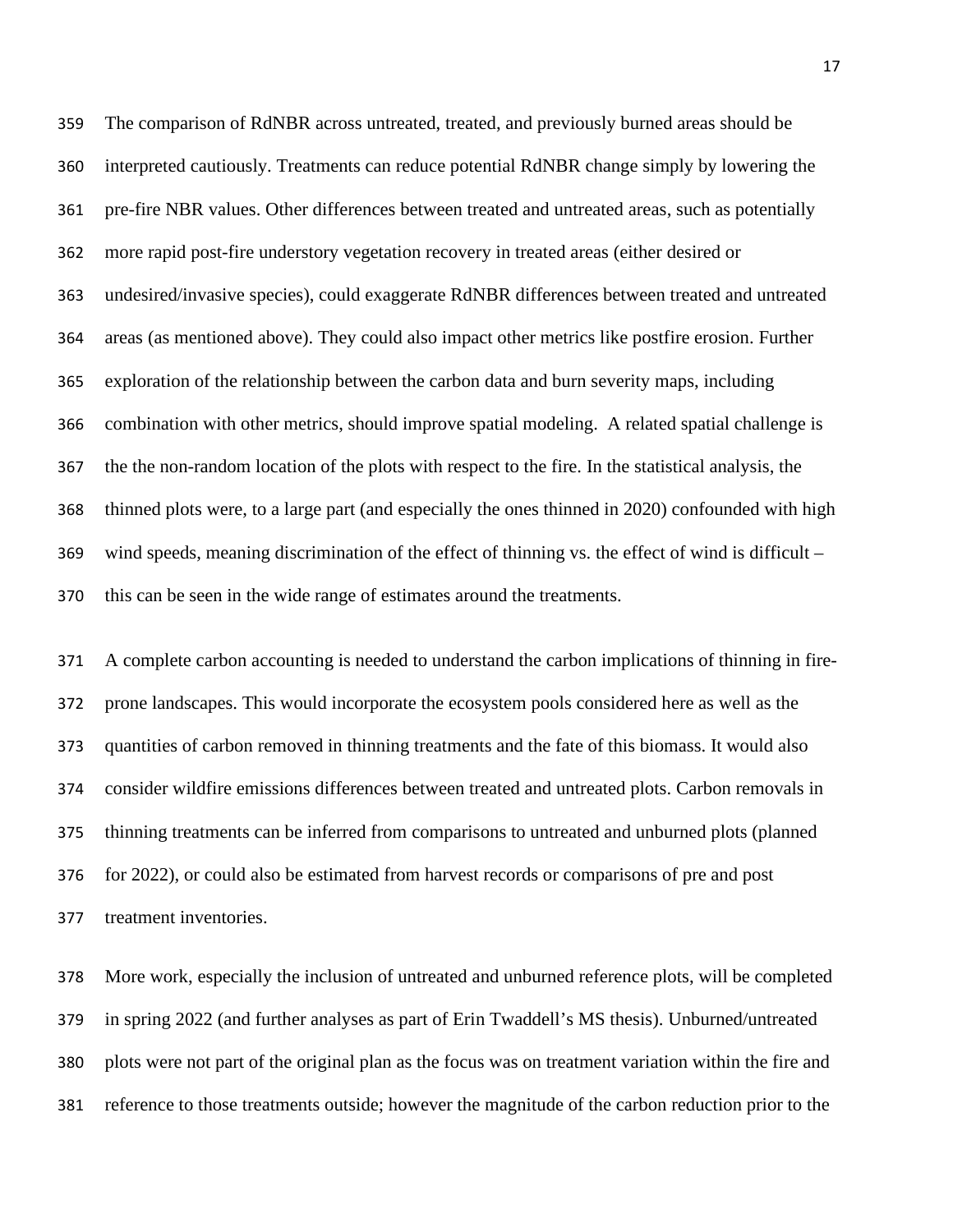The comparison of RdNBR across untreated, treated, and previously burned areas should be interpreted cautiously. Treatments can reduce potential RdNBR change simply by lowering the pre-fire NBR values. Other differences between treated and untreated areas, such as potentially more rapid post-fire understory vegetation recovery in treated areas (either desired or undesired/invasive species), could exaggerate RdNBR differences between treated and untreated areas (as mentioned above). They could also impact other metrics like postfire erosion. Further exploration of the relationship between the carbon data and burn severity maps, including combination with other metrics, should improve spatial modeling. A related spatial challenge is the the non-random location of the plots with respect to the fire. In the statistical analysis, the thinned plots were, to a large part (and especially the ones thinned in 2020) confounded with high wind speeds, meaning discrimination of the effect of thinning vs. the effect of wind is difficult – this can be seen in the wide range of estimates around the treatments.

 A complete carbon accounting is needed to understand the carbon implications of thinning in fire- prone landscapes. This would incorporate the ecosystem pools considered here as well as the quantities of carbon removed in thinning treatments and the fate of this biomass. It would also consider wildfire emissions differences between treated and untreated plots. Carbon removals in thinning treatments can be inferred from comparisons to untreated and unburned plots (planned for 2022), or could also be estimated from harvest records or comparisons of pre and post treatment inventories.

 More work, especially the inclusion of untreated and unburned reference plots, will be completed in spring 2022 (and further analyses as part of Erin Twaddell's MS thesis). Unburned/untreated plots were not part of the original plan as the focus was on treatment variation within the fire and reference to those treatments outside; however the magnitude of the carbon reduction prior to the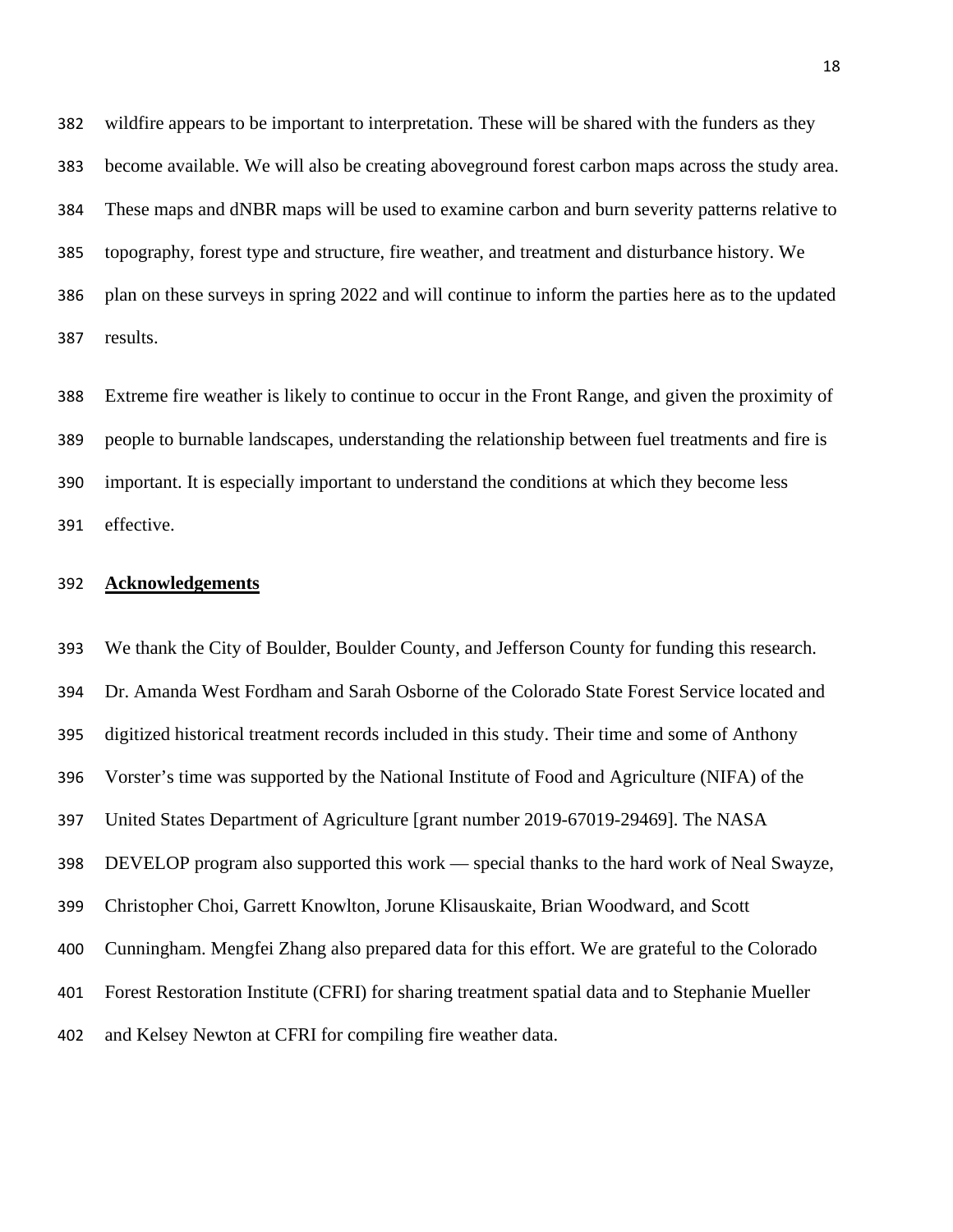wildfire appears to be important to interpretation. These will be shared with the funders as they become available. We will also be creating aboveground forest carbon maps across the study area. These maps and dNBR maps will be used to examine carbon and burn severity patterns relative to topography, forest type and structure, fire weather, and treatment and disturbance history. We plan on these surveys in spring 2022 and will continue to inform the parties here as to the updated results.

 Extreme fire weather is likely to continue to occur in the Front Range, and given the proximity of people to burnable landscapes, understanding the relationship between fuel treatments and fire is important. It is especially important to understand the conditions at which they become less effective.

### **Acknowledgements**

 We thank the City of Boulder, Boulder County, and Jefferson County for funding this research. Dr. Amanda West Fordham and Sarah Osborne of the Colorado State Forest Service located and digitized historical treatment records included in this study. Their time and some of Anthony Vorster's time was supported by the National Institute of Food and Agriculture (NIFA) of the United States Department of Agriculture [grant number 2019-67019-29469]. The NASA DEVELOP program also supported this work — special thanks to the hard work of Neal Swayze, Christopher Choi, Garrett Knowlton, Jorune Klisauskaite, Brian Woodward, and Scott Cunningham. Mengfei Zhang also prepared data for this effort. We are grateful to the Colorado Forest Restoration Institute (CFRI) for sharing treatment spatial data and to Stephanie Mueller and Kelsey Newton at CFRI for compiling fire weather data.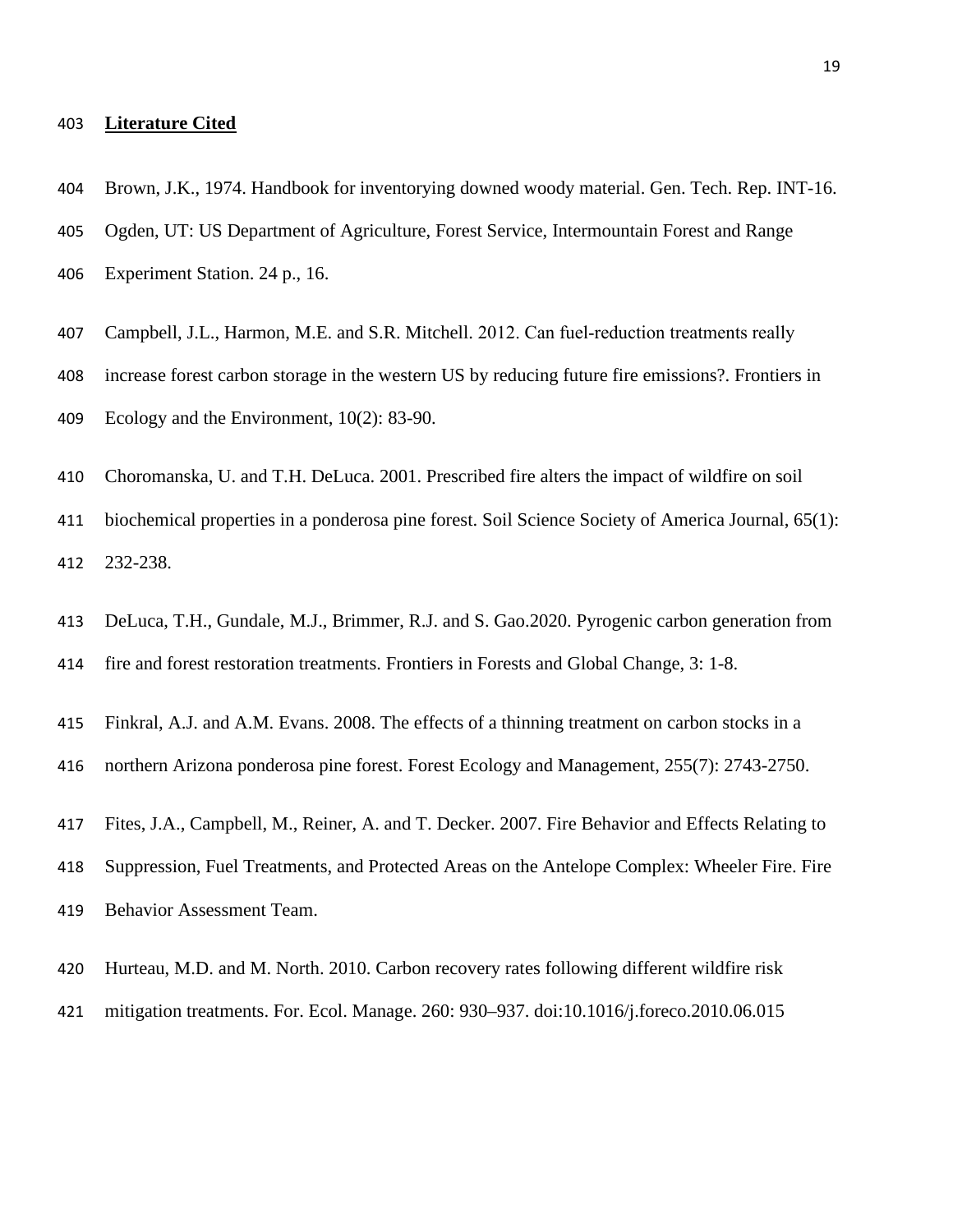### **Literature Cited**

Brown, J.K., 1974. Handbook for inventorying downed woody material. Gen. Tech. Rep. INT-16.

- Ogden, UT: US Department of Agriculture, Forest Service, Intermountain Forest and Range Experiment Station. 24 p., 16.
- 407 Campbell, J.L., Harmon, M.E. and S.R. Mitchell. 2012. Can fuel-reduction treatments really
- increase forest carbon storage in the western US by reducing future fire emissions?. Frontiers in Ecology and the Environment, 10(2): 83-90.
- Choromanska, U. and T.H. DeLuca. 2001. Prescribed fire alters the impact of wildfire on soil
- biochemical properties in a ponderosa pine forest. Soil Science Society of America Journal, 65(1): 232-238.
- DeLuca, T.H., Gundale, M.J., Brimmer, R.J. and S. Gao.2020. Pyrogenic carbon generation from
- fire and forest restoration treatments. Frontiers in Forests and Global Change, 3: 1-8.
- Finkral, A.J. and A.M. Evans. 2008. The effects of a thinning treatment on carbon stocks in a
- northern Arizona ponderosa pine forest. Forest Ecology and Management, 255(7): 2743-2750.
- Fites, J.A., Campbell, M., Reiner, A. and T. Decker. 2007. Fire Behavior and Effects Relating to
- Suppression, Fuel Treatments, and Protected Areas on the Antelope Complex: Wheeler Fire. Fire
- Behavior Assessment Team.
- Hurteau, M.D. and M. North. 2010. Carbon recovery rates following different wildfire risk
- mitigation treatments. For. Ecol. Manage. 260: 930–937. doi:10.1016/j.foreco.2010.06.015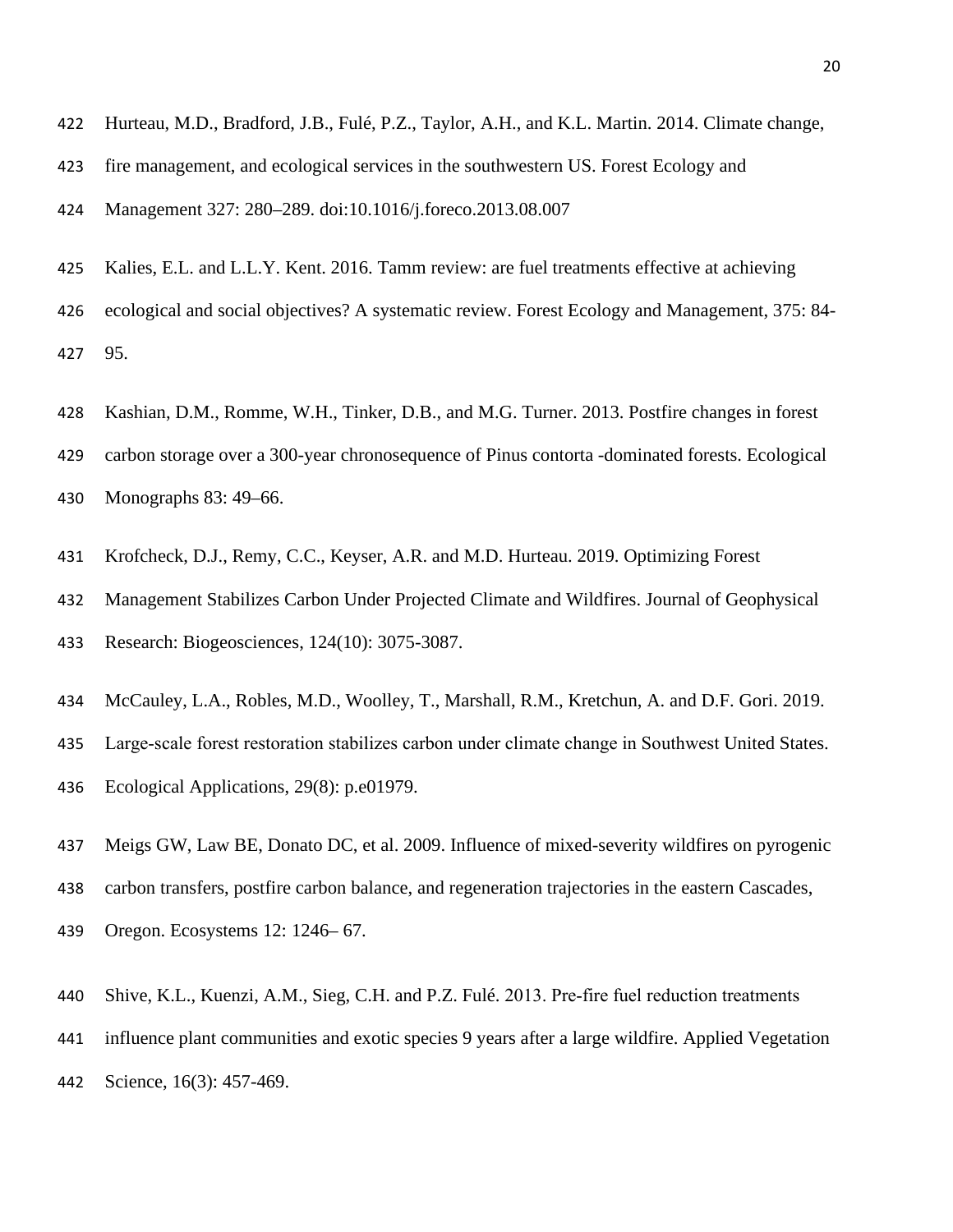- Hurteau, M.D., Bradford, J.B., Fulé, P.Z., Taylor, A.H., and K.L. Martin. 2014. Climate change,
- fire management, and ecological services in the southwestern US. Forest Ecology and

Management 327: 280–289. doi:10.1016/j.foreco.2013.08.007

- Kalies, E.L. and L.L.Y. Kent. 2016. Tamm review: are fuel treatments effective at achieving ecological and social objectives? A systematic review. Forest Ecology and Management, 375: 84- 95.
- Kashian, D.M., Romme, W.H., Tinker, D.B., and M.G. Turner. 2013. Postfire changes in forest
- carbon storage over a 300-year chronosequence of Pinus contorta -dominated forests. Ecological Monographs 83: 49–66.
- Krofcheck, D.J., Remy, C.C., Keyser, A.R. and M.D. Hurteau. 2019. Optimizing Forest
- Management Stabilizes Carbon Under Projected Climate and Wildfires. Journal of Geophysical Research: Biogeosciences, 124(10): 3075-3087.
- McCauley, L.A., Robles, M.D., Woolley, T., Marshall, R.M., Kretchun, A. and D.F. Gori. 2019.
- Large‐scale forest restoration stabilizes carbon under climate change in Southwest United States. Ecological Applications, 29(8): p.e01979.
- Meigs GW, Law BE, Donato DC, et al. 2009. Influence of mixed-severity wildfires on pyrogenic
- carbon transfers, postfire carbon balance, and regeneration trajectories in the eastern Cascades,
- Oregon. Ecosystems 12: 1246– 67.
- Shive, K.L., Kuenzi, A.M., Sieg, C.H. and P.Z. Fulé. 2013. Pre‐fire fuel reduction treatments
- influence plant communities and exotic species 9 years after a large wildfire. Applied Vegetation
- Science, 16(3): 457-469.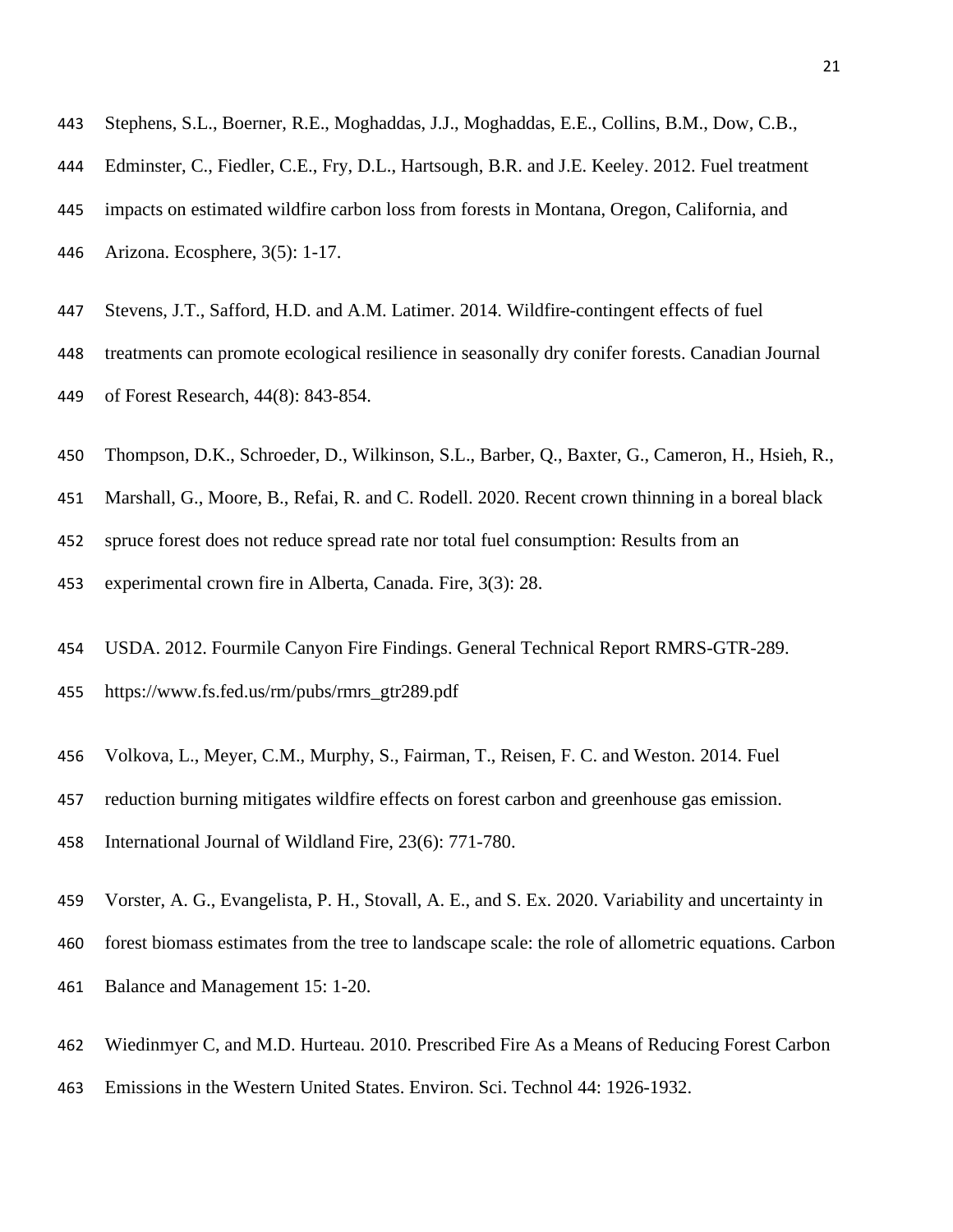- Stephens, S.L., Boerner, R.E., Moghaddas, J.J., Moghaddas, E.E., Collins, B.M., Dow, C.B.,
- Edminster, C., Fiedler, C.E., Fry, D.L., Hartsough, B.R. and J.E. Keeley. 2012. Fuel treatment impacts on estimated wildfire carbon loss from forests in Montana, Oregon, California, and Arizona. Ecosphere, 3(5): 1-17.
- Stevens, J.T., Safford, H.D. and A.M. Latimer. 2014. Wildfire-contingent effects of fuel treatments can promote ecological resilience in seasonally dry conifer forests. Canadian Journal of Forest Research, 44(8): 843-854.
- Thompson, D.K., Schroeder, D., Wilkinson, S.L., Barber, Q., Baxter, G., Cameron, H., Hsieh, R.,
- Marshall, G., Moore, B., Refai, R. and C. Rodell. 2020. Recent crown thinning in a boreal black
- spruce forest does not reduce spread rate nor total fuel consumption: Results from an
- experimental crown fire in Alberta, Canada. Fire, 3(3): 28.
- USDA. 2012. Fourmile Canyon Fire Findings. General Technical Report RMRS-GTR-289. https://www.fs.fed.us/rm/pubs/rmrs\_gtr289.pdf
- Volkova, L., Meyer, C.M., Murphy, S., Fairman, T., Reisen, F. C. and Weston. 2014. Fuel
- reduction burning mitigates wildfire effects on forest carbon and greenhouse gas emission.
- International Journal of Wildland Fire, 23(6): 771-780.
- Vorster, A. G., Evangelista, P. H., Stovall, A. E., and S. Ex. 2020. Variability and uncertainty in
- forest biomass estimates from the tree to landscape scale: the role of allometric equations. Carbon
- Balance and Management 15: 1-20.
- Wiedinmyer C, and M.D. Hurteau. 2010. Prescribed Fire As a Means of Reducing Forest Carbon
- Emissions in the Western United States. Environ. Sci. Technol 44: 1926-1932.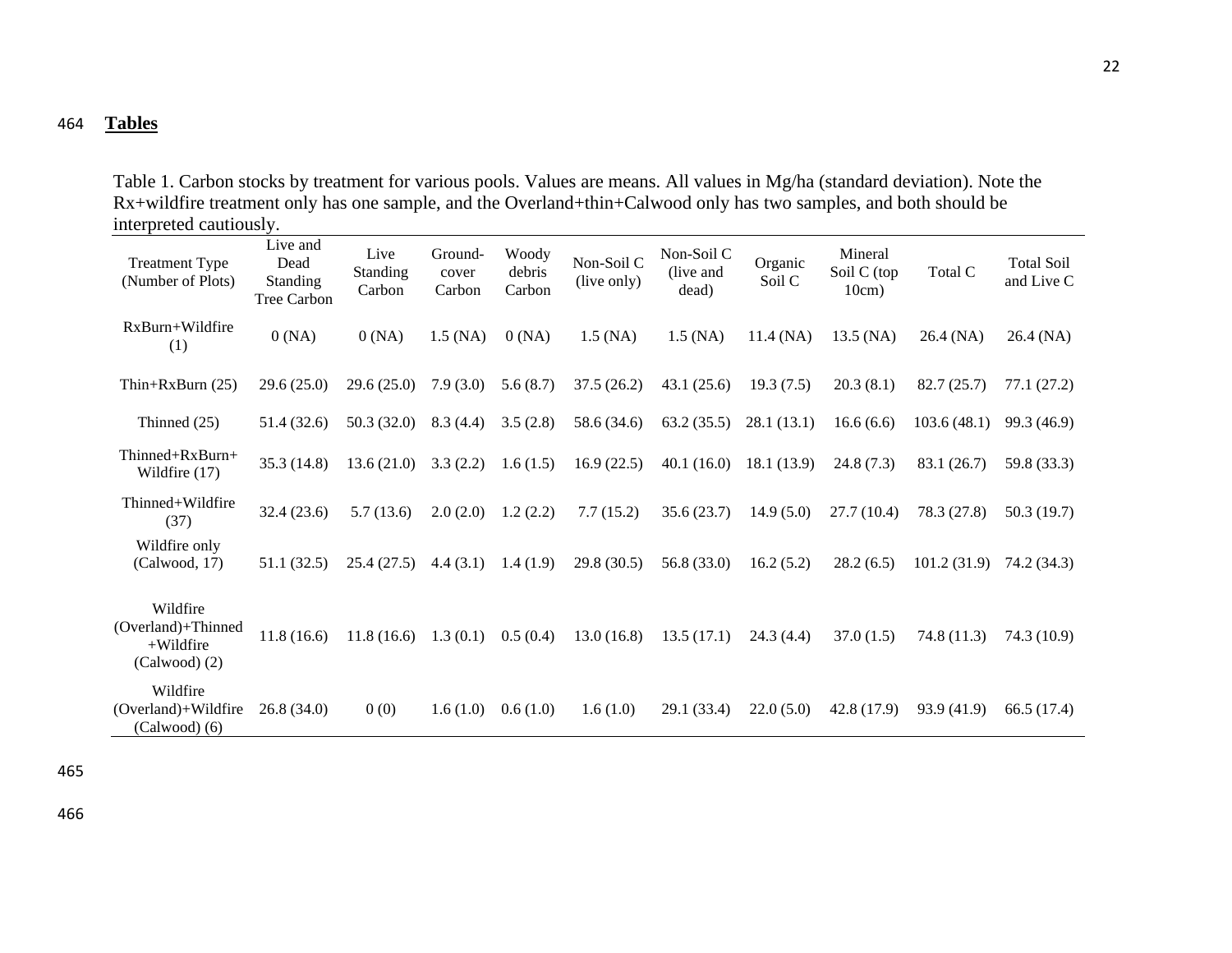## 464 **Tables**

Table 1. Carbon stocks by treatment for various pools. Values are means. All values in Mg/ha (standard deviation). Note the Rx+wildfire treatment only has one sample, and the Overland+thin+Calwood only has two samples, and both should be interpreted cautiously.

| mich pretea eautroubl<br><b>Treatment Type</b><br>(Number of Plots) | Live and<br>Dead<br><b>Standing</b><br>Tree Carbon | Live<br>Standing<br>Carbon | Ground-<br>cover<br>Carbon | Woody<br>debris<br>Carbon | Non-Soil C<br>(live only) | Non-Soil C<br>(live and)<br>dead) | Organic<br>Soil C | Mineral<br>Soil C (top<br>10cm) | Total C     | <b>Total Soil</b><br>and Live C |
|---------------------------------------------------------------------|----------------------------------------------------|----------------------------|----------------------------|---------------------------|---------------------------|-----------------------------------|-------------------|---------------------------------|-------------|---------------------------------|
| RxBurn+Wildfire<br>(1)                                              | 0(NA)                                              | 0(NA)                      | $1.5$ (NA)                 | 0(NA)                     | $1.5$ (NA)                | $1.5$ (NA)                        | $11.4$ (NA)       | $13.5$ (NA)                     | 26.4 (NA)   | 26.4 (NA)                       |
| Thin+RxBurn $(25)$                                                  | 29.6(25.0)                                         | 29.6(25.0)                 | 7.9(3.0)                   | 5.6(8.7)                  | 37.5(26.2)                | 43.1(25.6)                        | 19.3(7.5)         | 20.3(8.1)                       | 82.7(25.7)  | 77.1(27.2)                      |
| Thinned $(25)$                                                      | 51.4 (32.6)                                        | 50.3(32.0)                 | 8.3(4.4)                   | 3.5(2.8)                  | 58.6 (34.6)               | 63.2(35.5)                        | 28.1(13.1)        | 16.6(6.6)                       | 103.6(48.1) | 99.3 (46.9)                     |
| Thinned+RxBurn+<br>Wildfire (17)                                    | 35.3 (14.8)                                        | 13.6(21.0)                 | 3.3(2.2)                   | 1.6(1.5)                  | 16.9(22.5)                | 40.1(16.0)                        | 18.1 (13.9)       | 24.8(7.3)                       | 83.1 (26.7) | 59.8 (33.3)                     |
| Thinned+Wildfire<br>(37)                                            | 32.4(23.6)                                         | 5.7(13.6)                  | 2.0(2.0)                   | 1.2(2.2)                  | 7.7(15.2)                 | 35.6(23.7)                        | 14.9(5.0)         | 27.7(10.4)                      | 78.3 (27.8) | 50.3(19.7)                      |
| Wildfire only<br>(Calwood, 17)                                      | 51.1(32.5)                                         | 25.4(27.5)                 | 4.4(3.1)                   | 1.4(1.9)                  | 29.8(30.5)                | 56.8(33.0)                        | 16.2(5.2)         | 28.2(6.5)                       | 101.2(31.9) | 74.2 (34.3)                     |
| Wildfire<br>(Overland)+Thinned<br>$+$ Wildfire<br>$(Calwood)$ $(2)$ | 11.8(16.6)                                         | 11.8(16.6)                 | 1.3(0.1)                   | 0.5(0.4)                  | 13.0(16.8)                | 13.5(17.1)                        | 24.3(4.4)         | 37.0(1.5)                       | 74.8(11.3)  | 74.3 (10.9)                     |
| Wildfire<br>(Overland)+Wildfire<br>$(Calwood)$ (6)                  | 26.8(34.0)                                         | 0(0)                       | 1.6(1.0)                   | 0.6(1.0)                  | 1.6(1.0)                  | 29.1 (33.4)                       | 22.0(5.0)         | 42.8 (17.9)                     | 93.9 (41.9) | 66.5 (17.4)                     |

465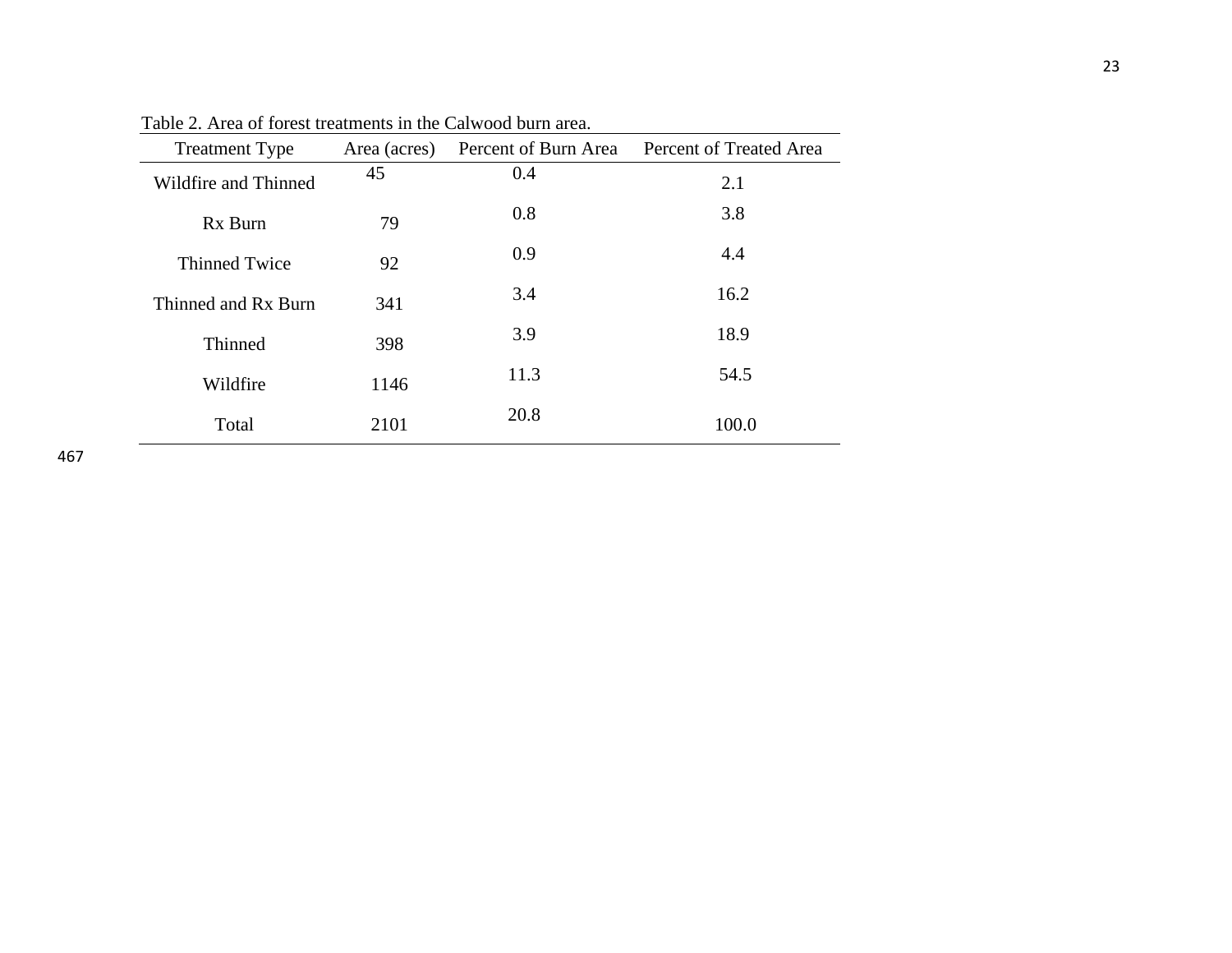| <b>Treatment Type</b> | Area (acres) |      | Percent of Burn Area Percent of Treated Area |  |  |
|-----------------------|--------------|------|----------------------------------------------|--|--|
| Wildfire and Thinned  | 45           | 0.4  | 2.1                                          |  |  |
| Rx Burn               | 79           | 0.8  | 3.8                                          |  |  |
| <b>Thinned Twice</b>  | 92           | 0.9  | 4.4                                          |  |  |
| Thinned and Rx Burn   | 341          | 3.4  | 16.2                                         |  |  |
| Thinned               | 398          | 3.9  | 18.9                                         |  |  |
| Wildfire              | 1146         | 11.3 | 54.5                                         |  |  |
| Total                 | 2101         | 20.8 | 100.0                                        |  |  |

Table 2. Area of forest treatments in the Calwood burn area.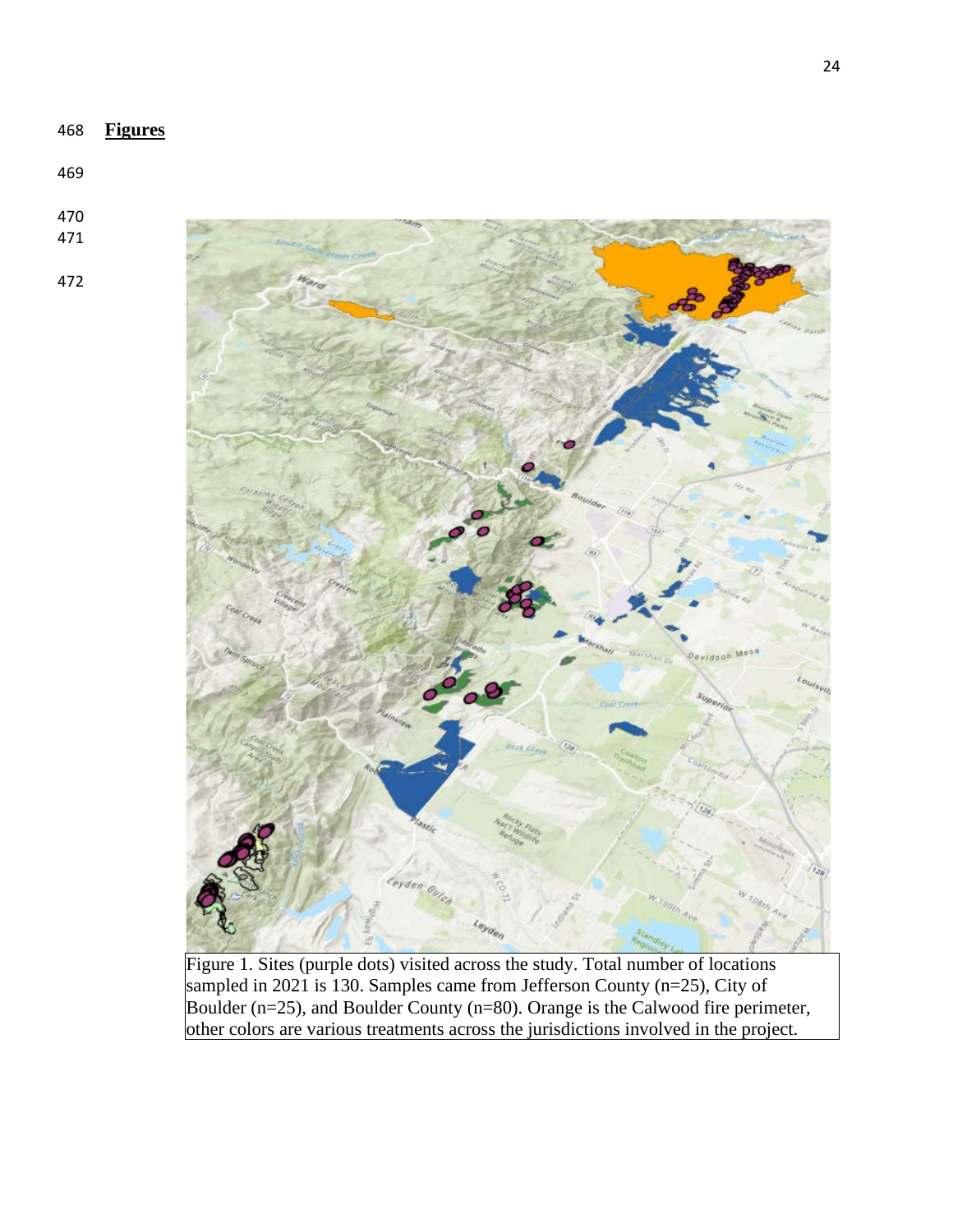





Figure 1. Sites (purple dots) visited across the study. Total number of locations sampled in 2021 is 130. Samples came from Jefferson County  $(n=25)$ , City of Boulder (n=25), and Boulder County (n=80). Orange is the Calwood fire perimeter, other colors are various treatments across the jurisdictions involved in the project.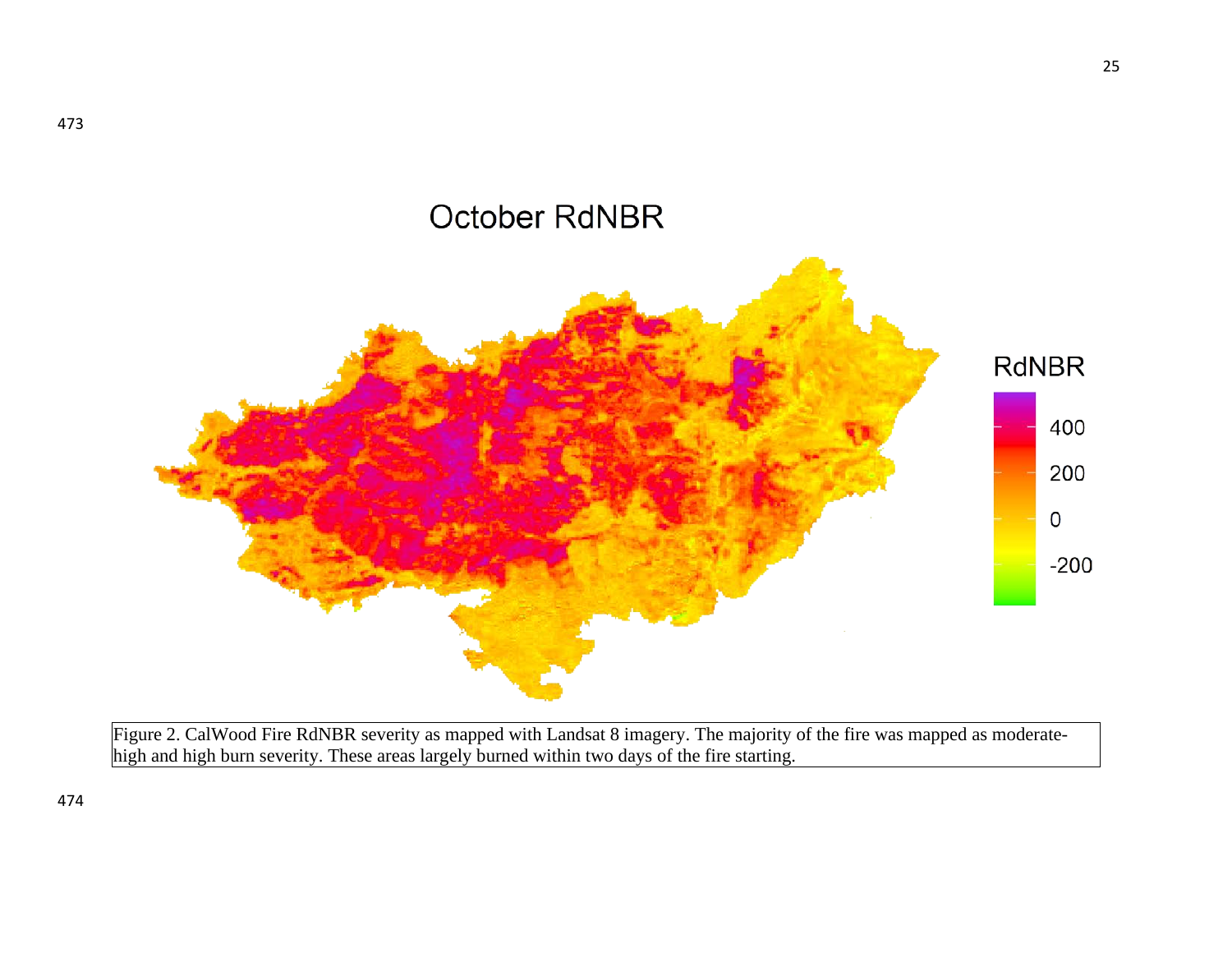

Figure 2. CalWood Fire RdNBR severity as mapped with Landsat 8 imagery. The majority of the fire was mapped as moderatehigh and high burn severity. These areas largely burned within two days of the fire starting.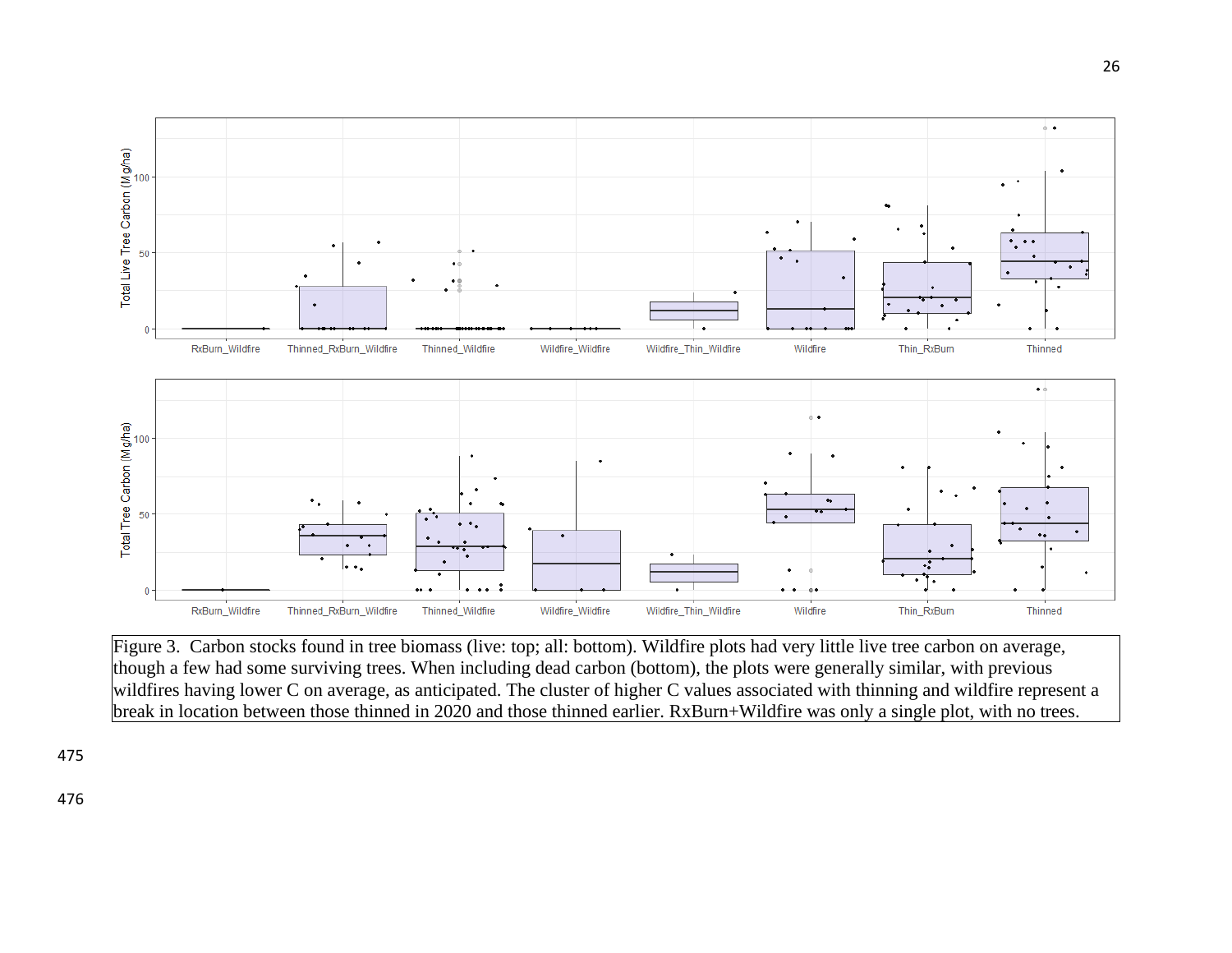

Figure 3. Carbon stocks found in tree biomass (live: top; all: bottom). Wildfire plots had very little live tree carbon on average, though a few had some surviving trees. When including dead carbon (bottom), the plots were generally similar, with previous wildfires having lower C on average, as anticipated. The cluster of higher C values associated with thinning and wildfire represent a break in location between those thinned in 2020 and those thinned earlier. RxBurn+Wildfire was only a single plot, with no trees.

475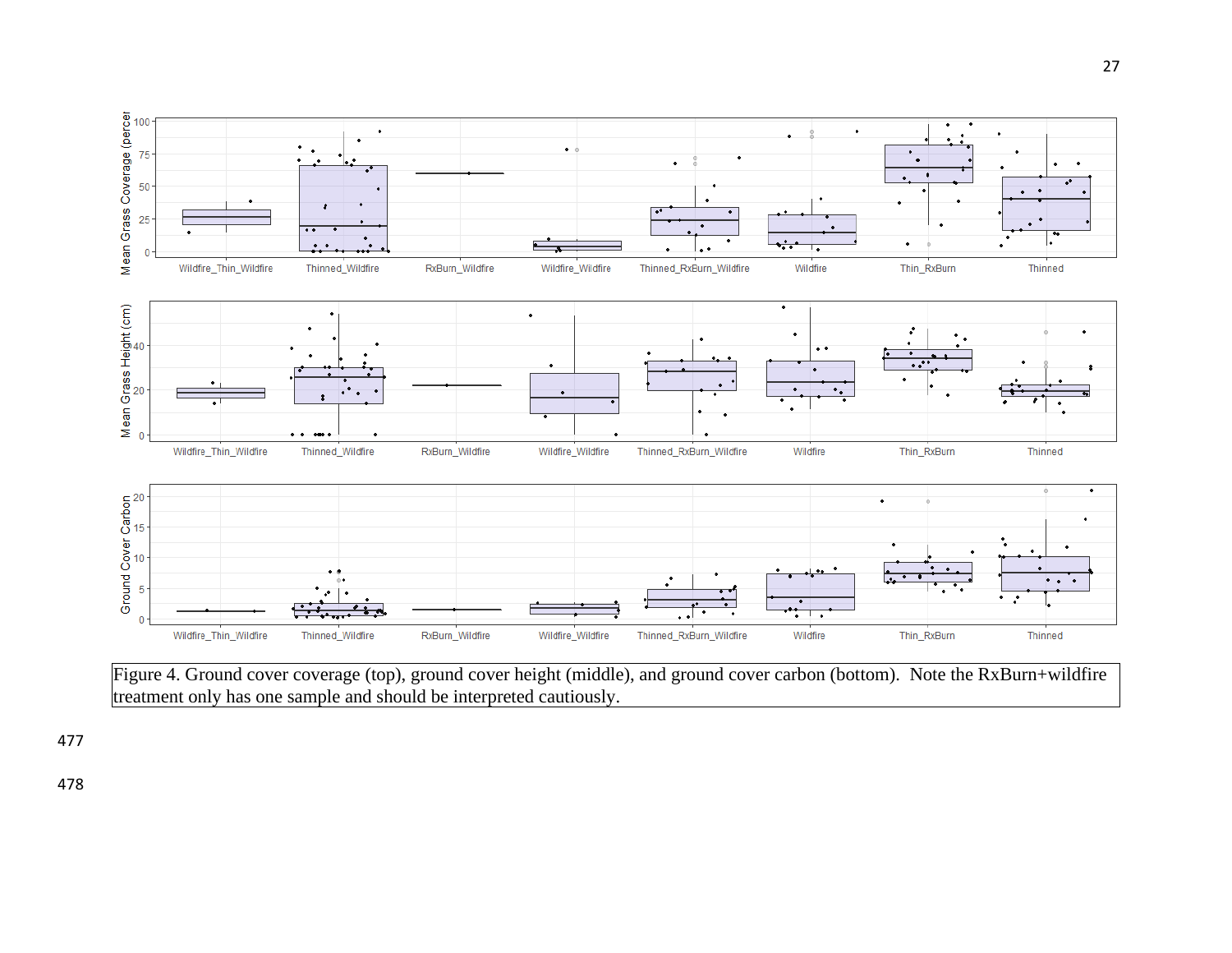

Figure 4. Ground cover coverage (top), ground cover height (middle), and ground cover carbon (bottom). Note the RxBurn+wildfire treatment only has one sample and should be interpreted cautiously.

477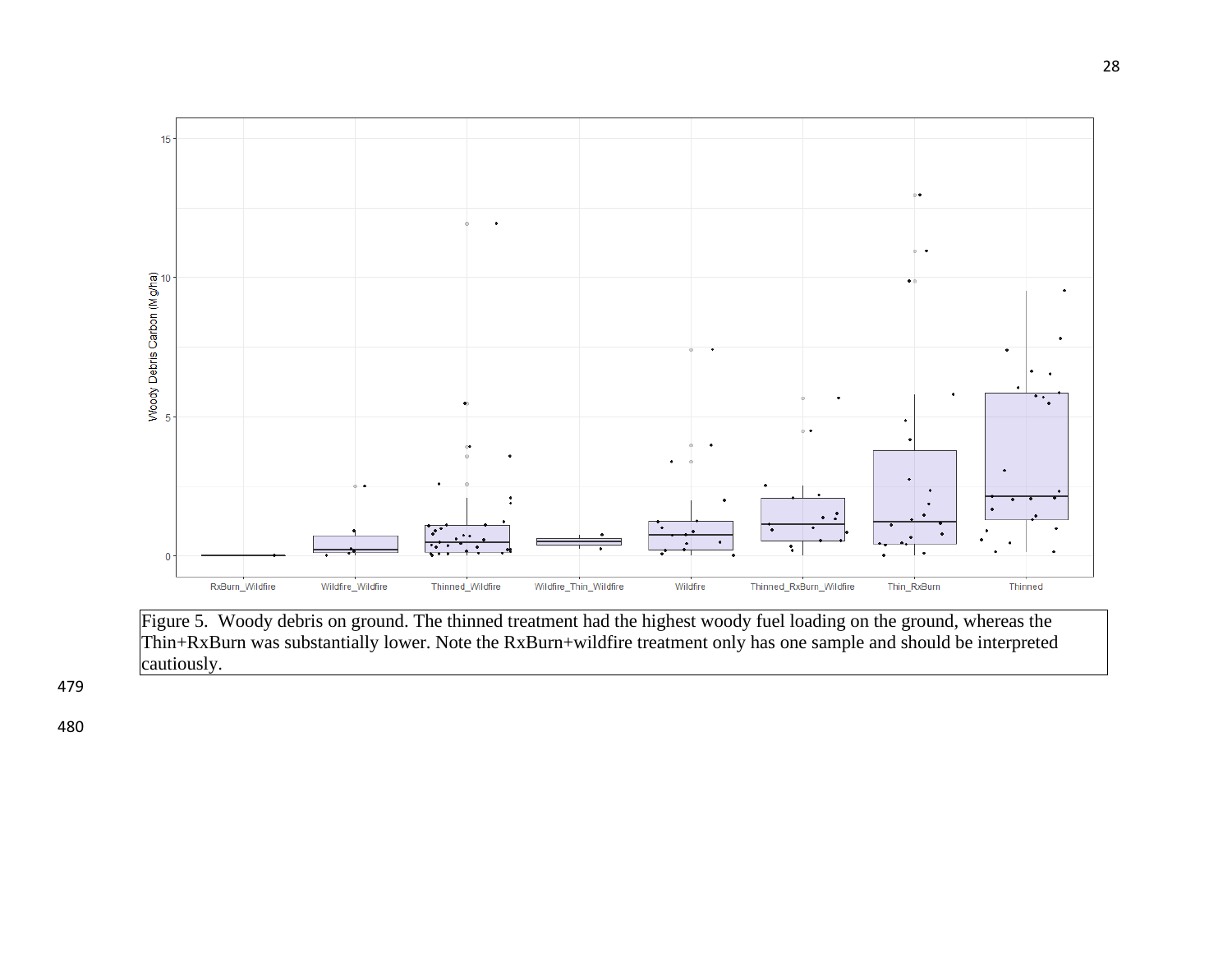

Figure 5. Woody debris on ground. The thinned treatment had the highest woody fuel loading on the ground, whereas the Thin+RxBurn was substantially lower. Note the RxBurn+wildfire treatment only has one sample and should be interpreted cautiously.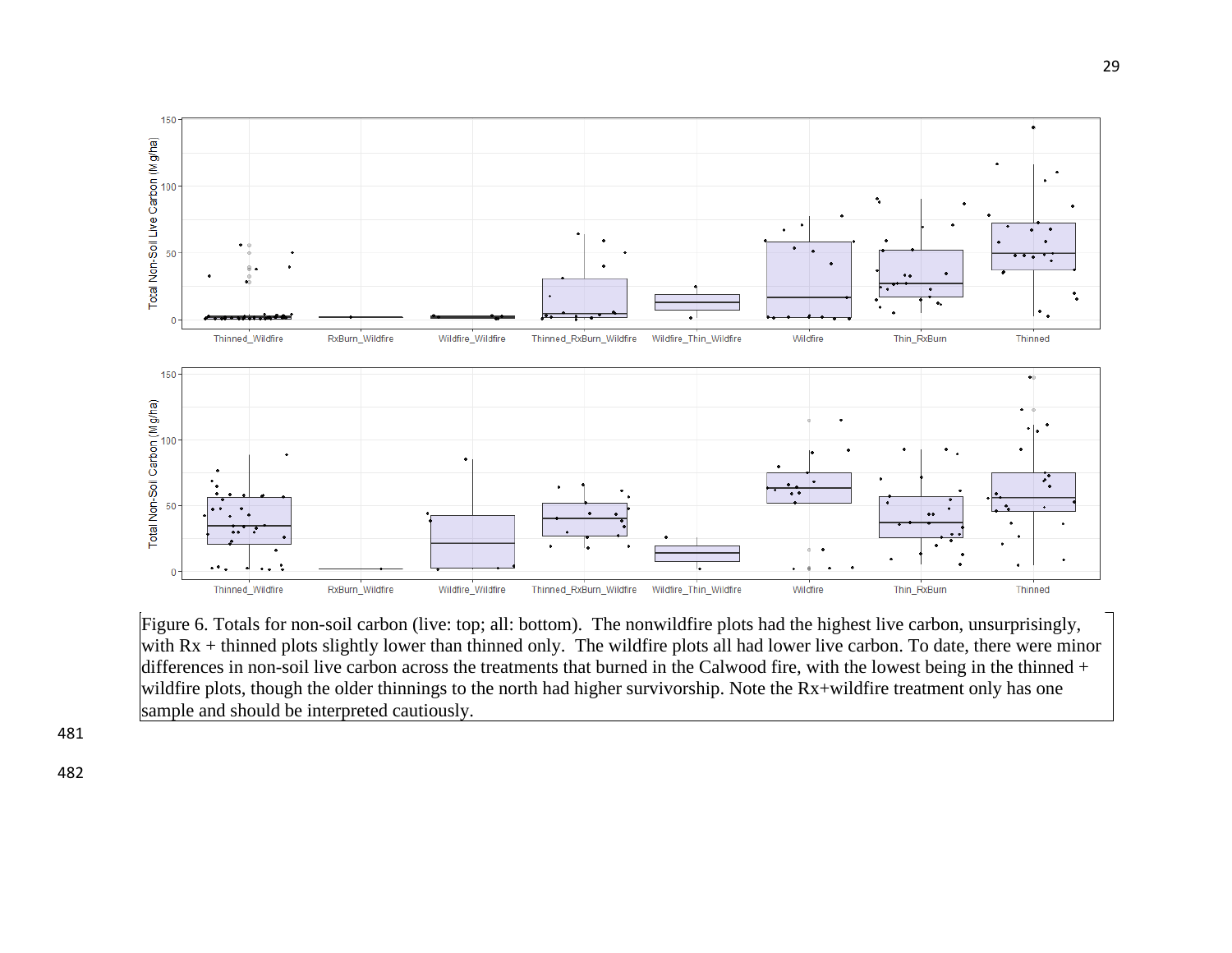

Figure 6. Totals for non-soil carbon (live: top; all: bottom). The nonwildfire plots had the highest live carbon, unsurprisingly, with Rx + thinned plots slightly lower than thinned only. The wildfire plots all had lower live carbon. To date, there were minor differences in non-soil live carbon across the treatments that burned in the Calwood fire, with the lowest being in the thinned + wildfire plots, though the older thinnings to the north had higher survivorship. Note the Rx+wildfire treatment only has one sample and should be interpreted cautiously.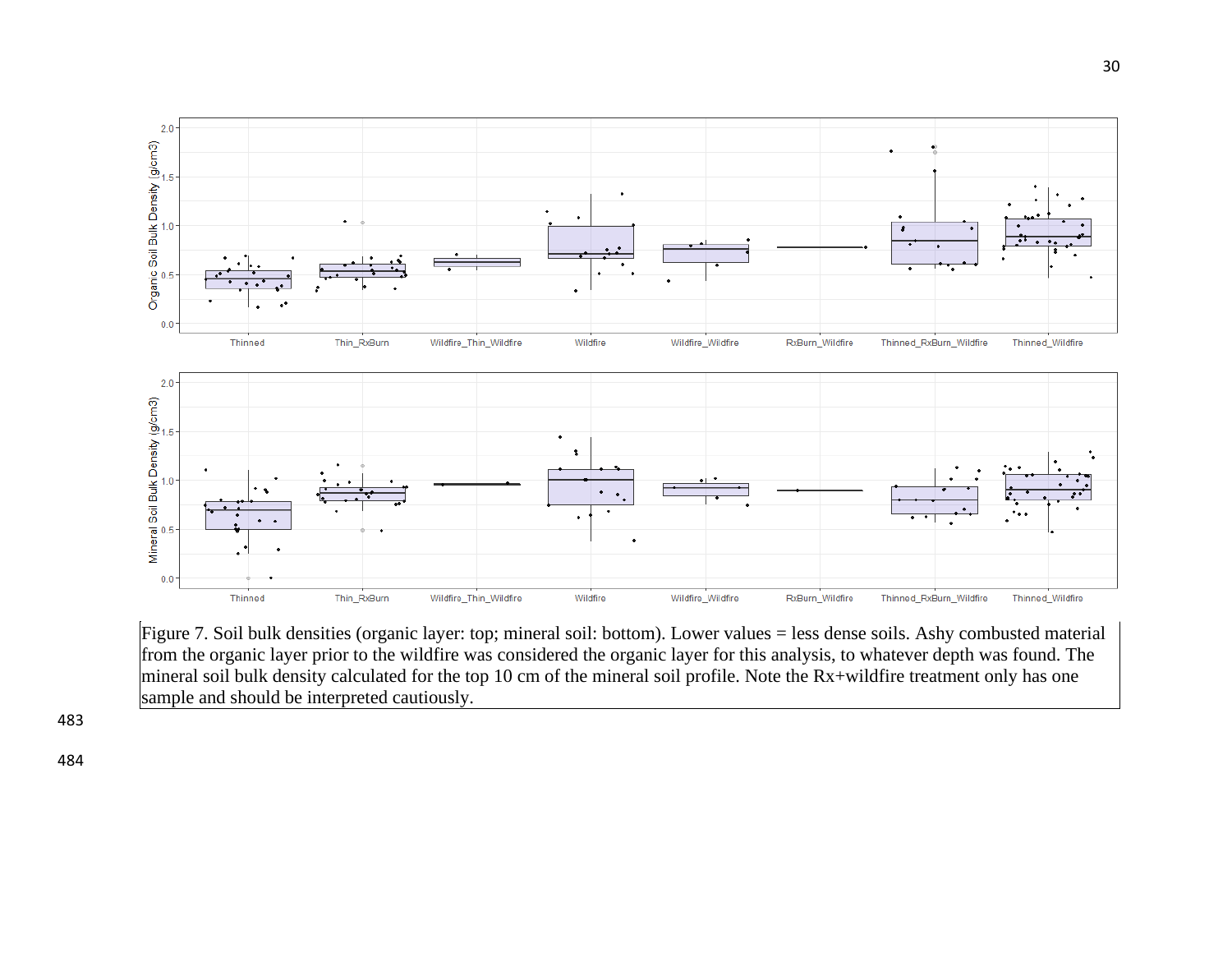

Figure 7. Soil bulk densities (organic layer: top; mineral soil: bottom). Lower values = less dense soils. Ashy combusted material from the organic layer prior to the wildfire was considered the organic layer for this analysis, to whatever depth was found. The mineral soil bulk density calculated for the top 10 cm of the mineral soil profile. Note the Rx+wildfire treatment only has one sample and should be interpreted cautiously.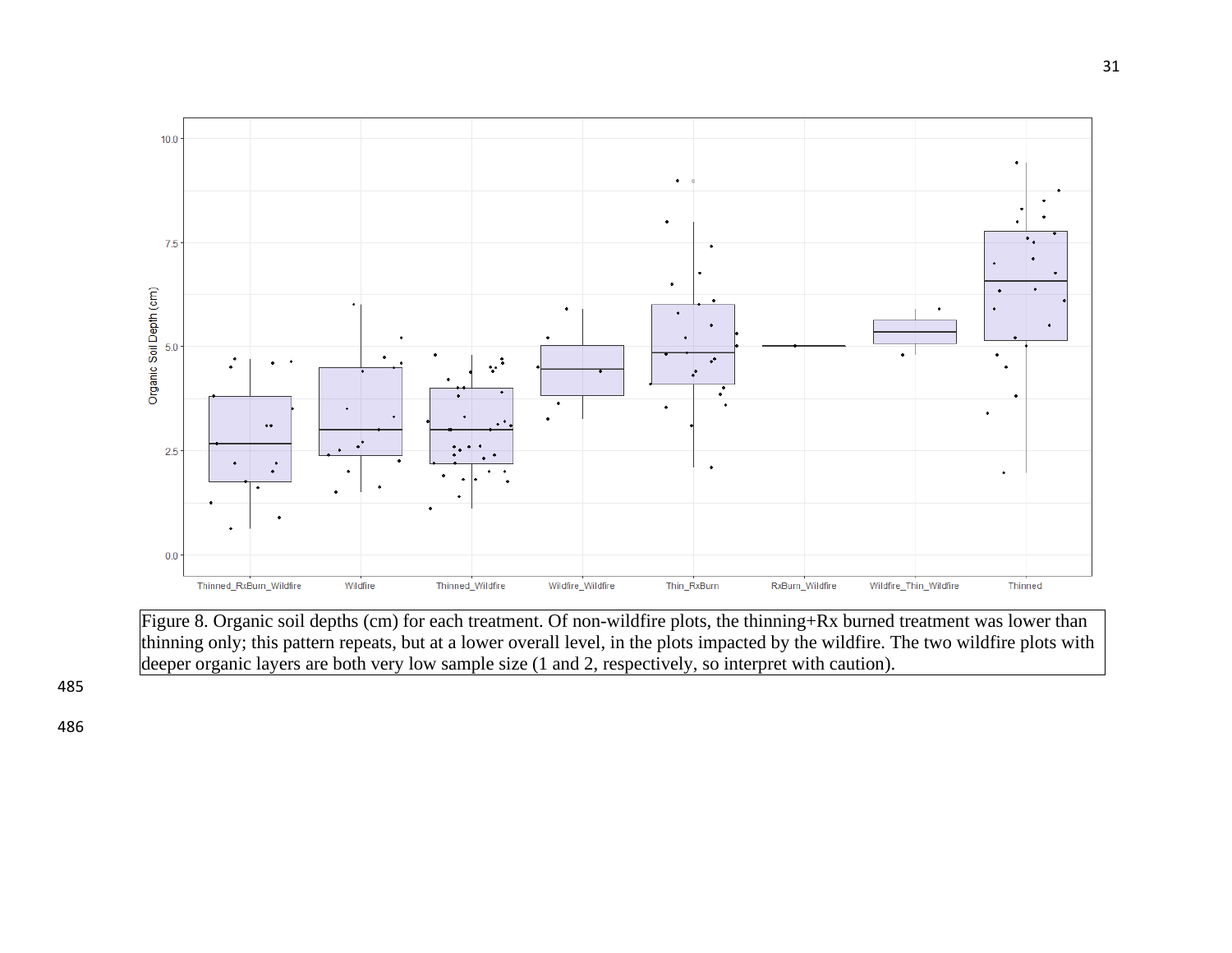

Figure 8. Organic soil depths (cm) for each treatment. Of non-wildfire plots, the thinning+Rx burned treatment was lower than thinning only; this pattern repeats, but at a lower overall level, in the plots impacted by the wildfire. The two wildfire plots with deeper organic layers are both very low sample size (1 and 2, respectively, so interpret with caution).

485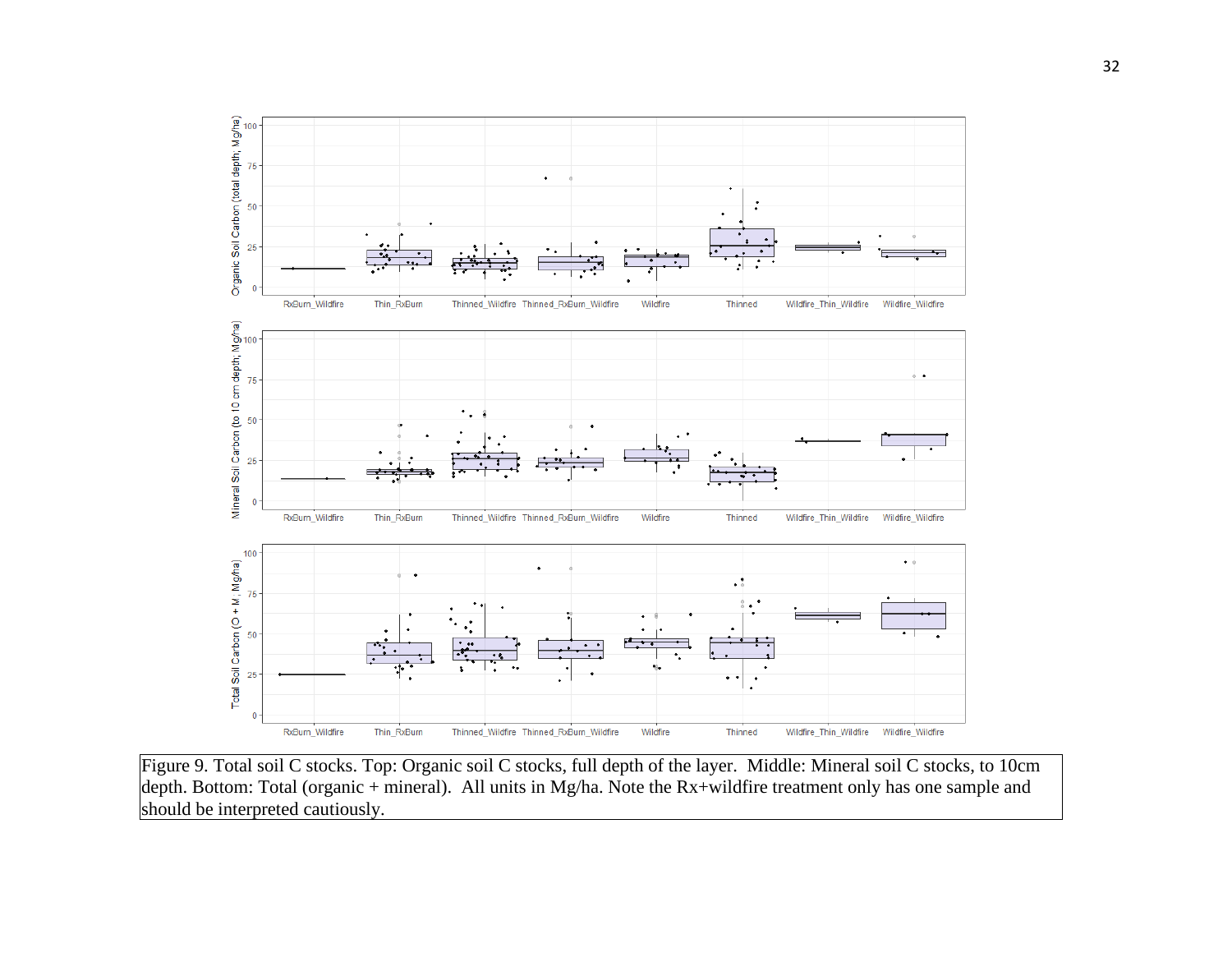

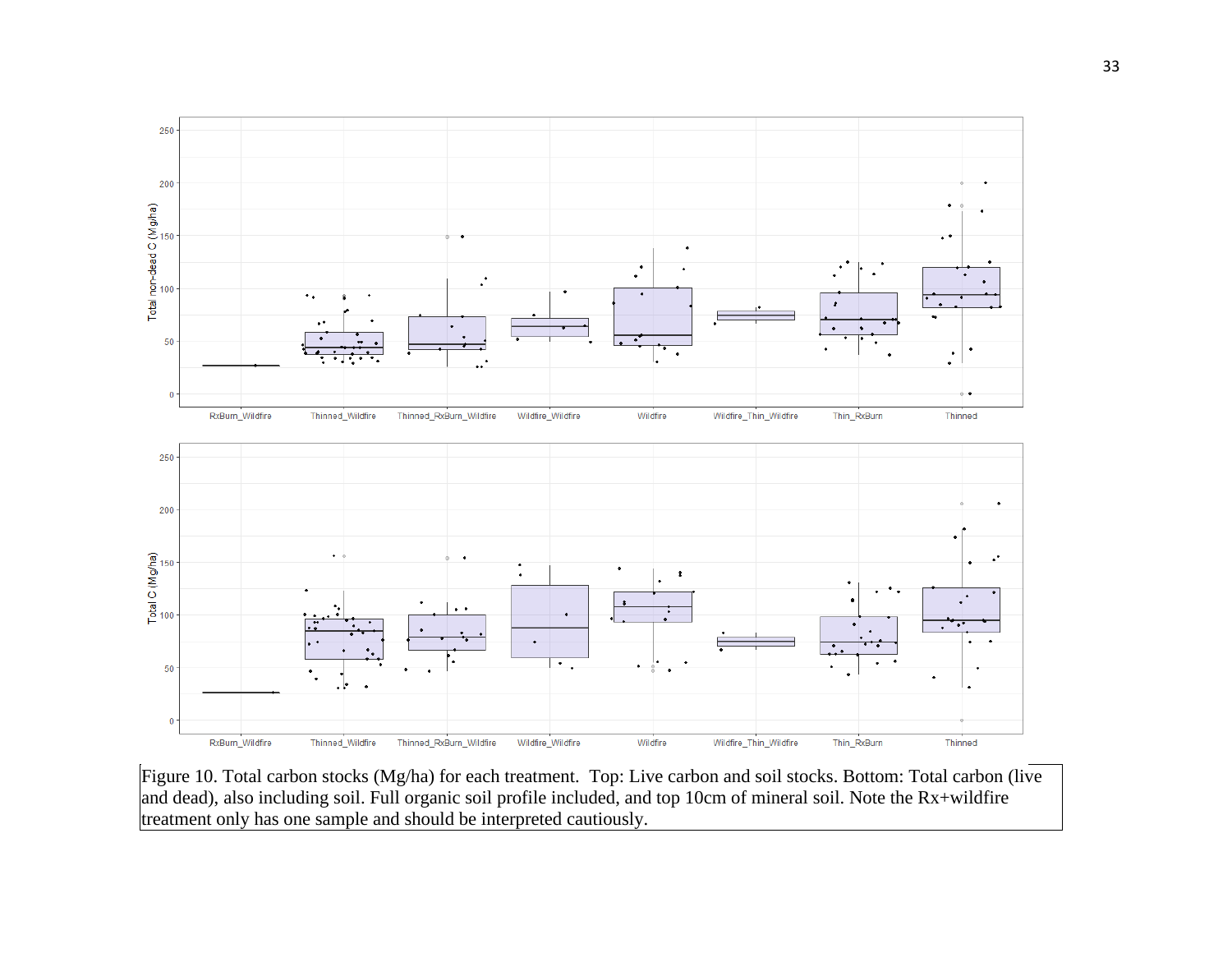

Figure 10. Total carbon stocks (Mg/ha) for each treatment. Top: Live carbon and soil stocks. Bottom: Total carbon (live and dead), also including soil. Full organic soil profile included, and top 10cm of mineral soil. Note the Rx+wildfire treatment only has one sample and should be interpreted cautiously.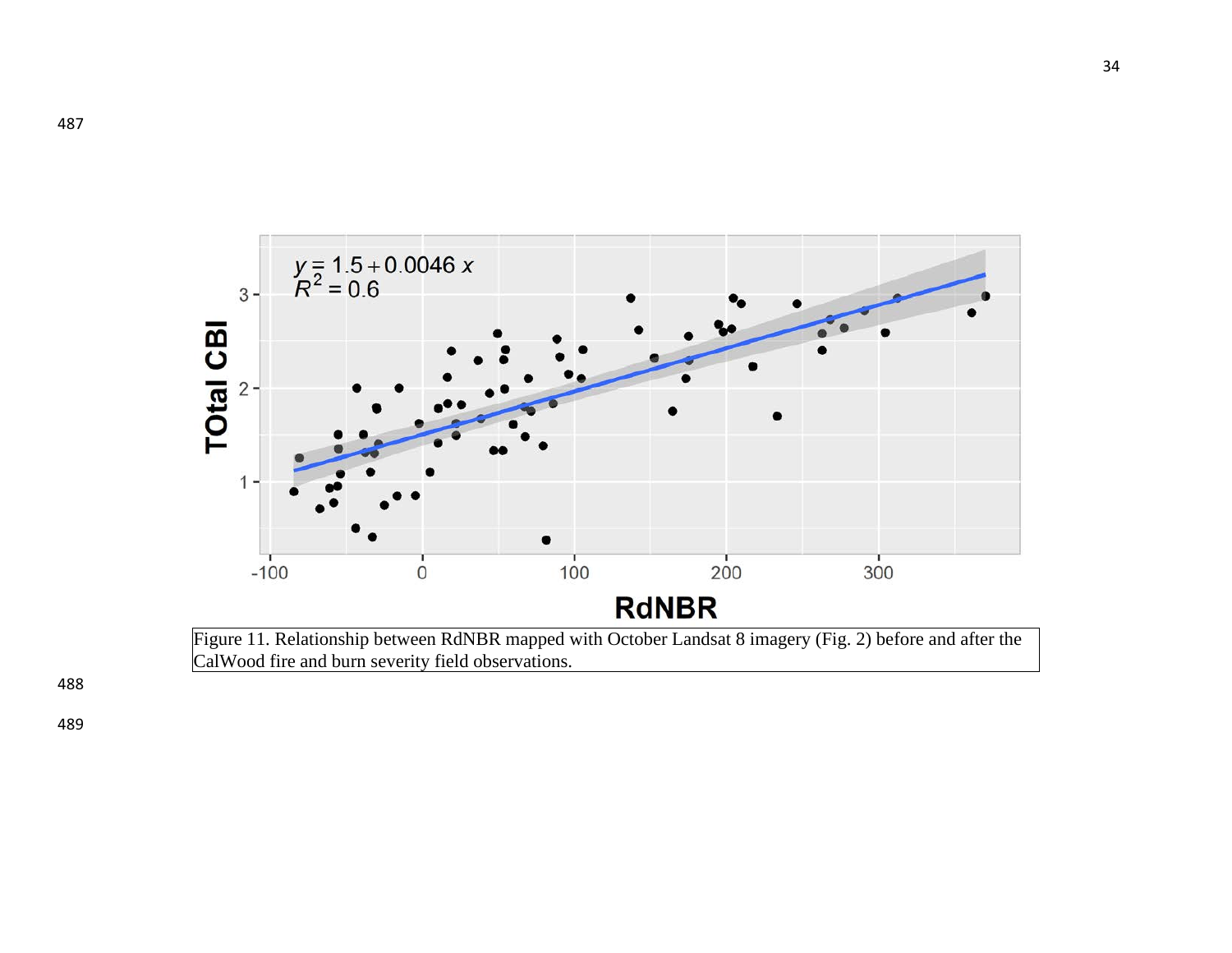

Figure 11. Relationship between RdNBR mapped with October Landsat 8 imagery (Fig. 2) before and after the CalWood fire and burn severity field observations.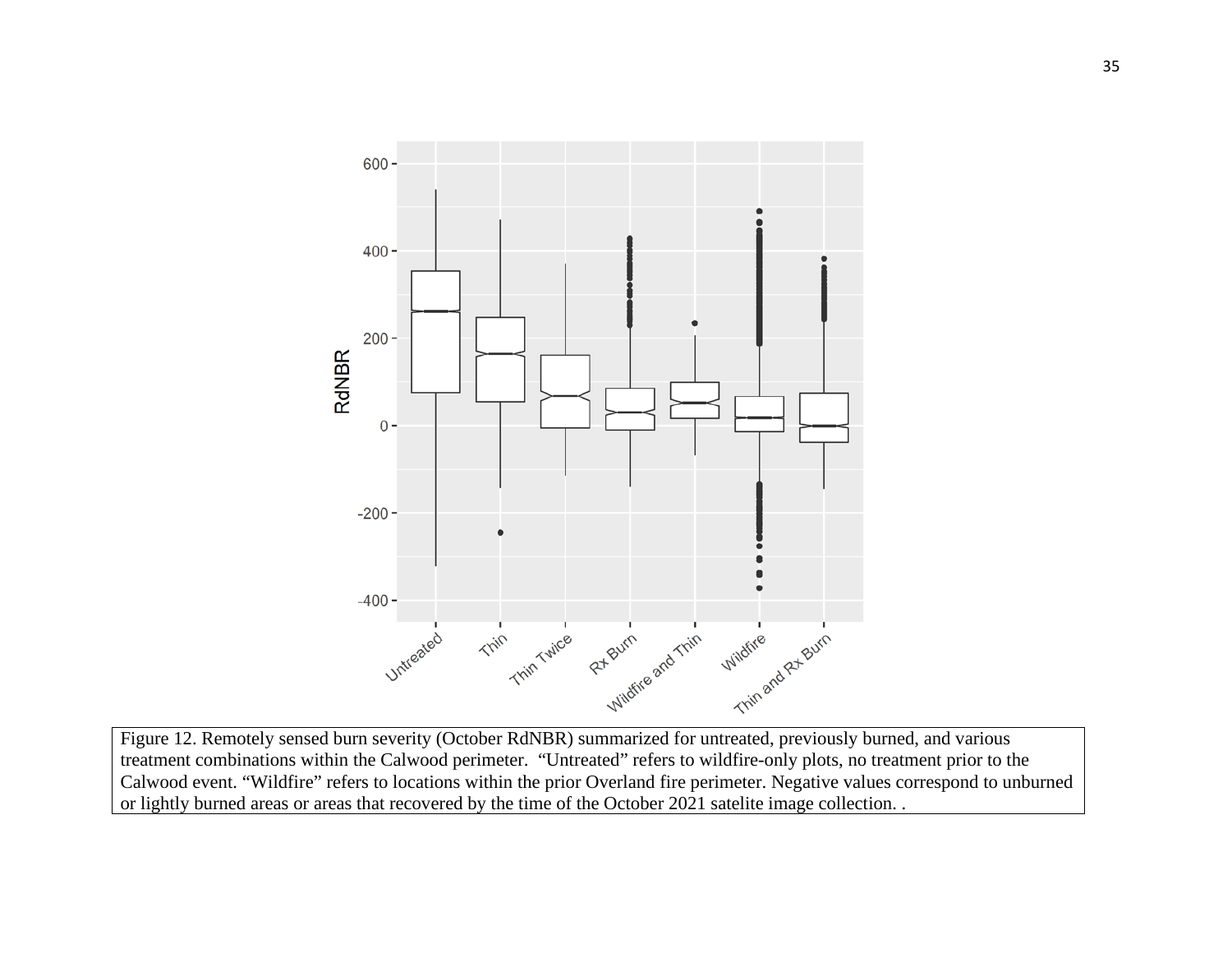

Figure 12. Remotely sensed burn severity (October RdNBR) summarized for untreated, previously burned, and various treatment combinations within the Calwood perimeter. "Untreated" refers to wildfire-only plots, no treatment prior to the Calwood event. "Wildfire" refers to locations within the prior Overland fire perimeter. Negative values correspond to unburned or lightly burned areas or areas that recovered by the time of the October 2021 satelite image collection. .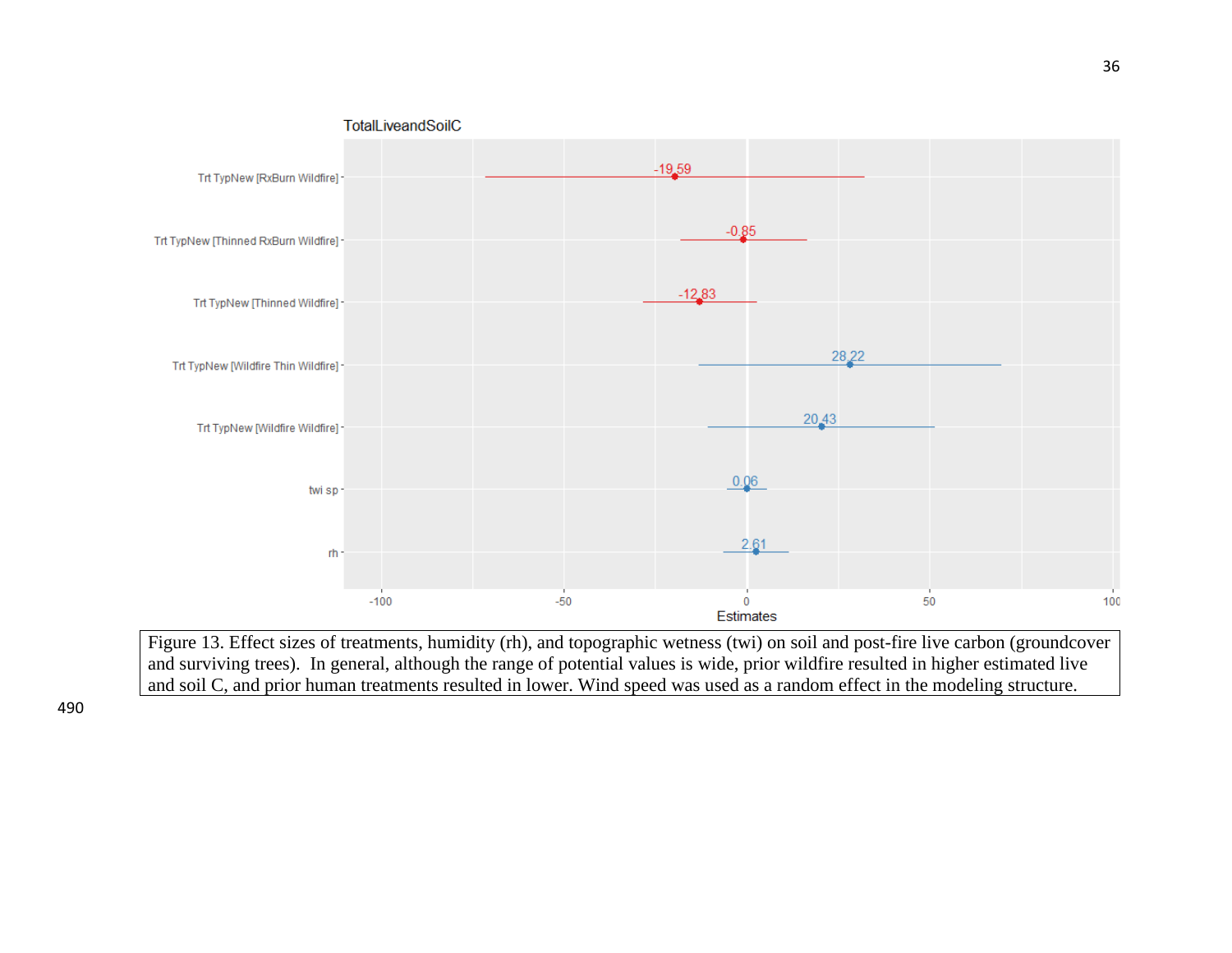

Figure 13. Effect sizes of treatments, humidity (rh), and topographic wetness (twi) on soil and post-fire live carbon (groundcover and surviving trees). In general, although the range of potential values is wide, prior wildfire resulted in higher estimated live and soil C, and prior human treatments resulted in lower. Wind speed was used as a random effect in the modeling structure.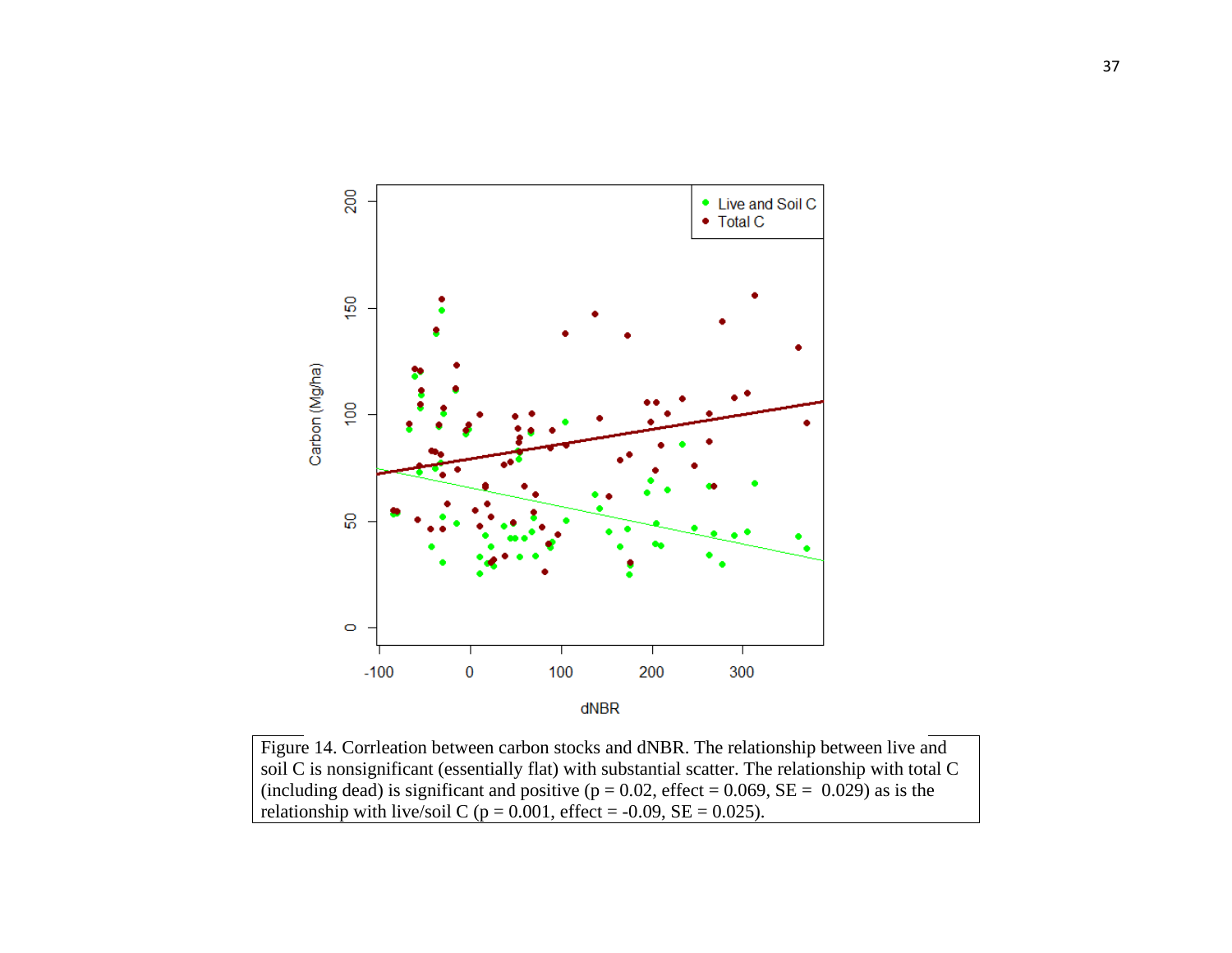

Figure 14. Corrleation between carbon stocks and dNBR. The relationship between live and soil C is nonsignificant (essentially flat) with substantial scatter. The relationship with total C (including dead) is significant and positive ( $p = 0.02$ , effect = 0.069, SE = 0.029) as is the relationship with live/soil C ( $p = 0.001$ , effect = -0.09, SE = 0.025).